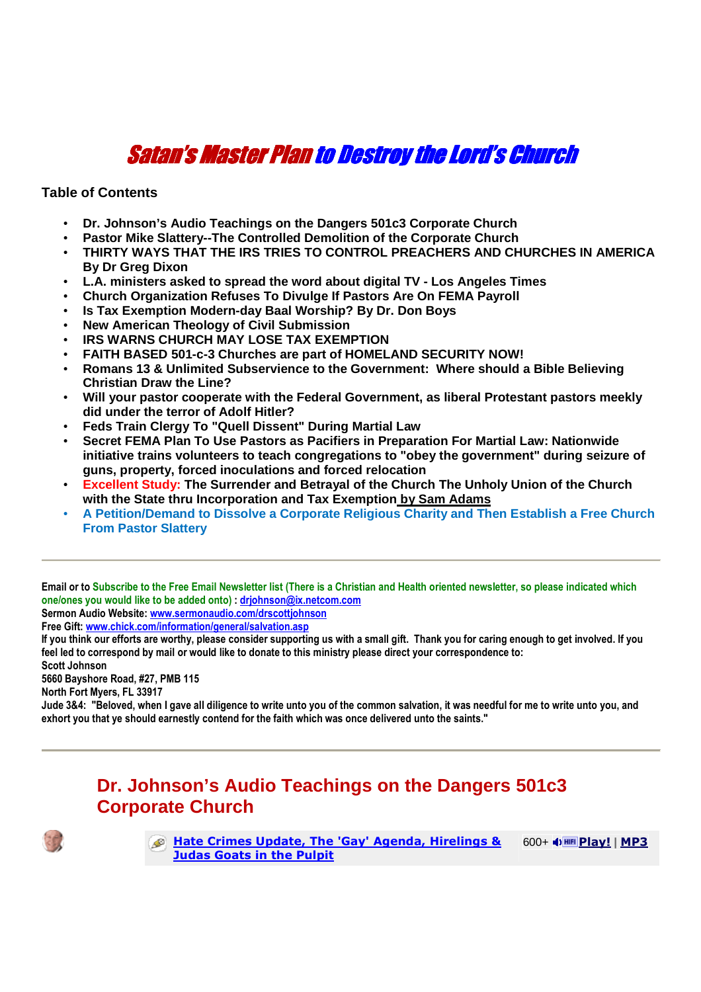# Satan's Master Planto Destroy the Lord's Church to Destroy the Lord's Church

**Table of Contents**

- **Dr. Johnson's Audio Teachings on the Dangers 501c3 Corporate Church**
- **Pastor Mike Slattery--The Controlled Demolition of the Corporate Church**
- **THIRTY WAYS THAT THE IRS TRIES TO CONTROL PREACHERS AND CHURCHES IN AMERICA By Dr Greg Dixon**
- **L.A. ministers asked to spread the word about digital TV Los Angeles Times**
- **Church Organization Refuses To Divulge If Pastors Are On FEMA Payroll**
- **Is Tax Exemption Modern-day Baal Worship? By Dr. Don Boys**
- **New American Theology of Civil Submission**
- **IRS WARNS CHURCH MAY LOSE TAX EXEMPTION**
- **FAITH BASED 501-c-3 Churches are part of HOMELAND SECURITY NOW!**
- **Romans 13 & Unlimited Subservience to the Government: Where should a Bible Believing Christian Draw the Line?**
- **Will your pastor cooperate with the Federal Government, as liberal Protestant pastors meekly did under the terror of Adolf Hitler?**
- **Feds Train Clergy To "Quell Dissent" During Martial Law**
- **Secret FEMA Plan To Use Pastors as Pacifiers in Preparation For Martial Law: Nationwide initiative trains volunteers to teach congregations to "obey the government" during seizure of guns, property, forced inoculations and forced relocation**
- **Excellent Study: The Surrender and Betrayal of the Church The Unholy Union of the Church with the State thru Incorporation and Tax Exemption by Sam Adams**
- **A Petition/Demand to Dissolve a Corporate Religious Charity and Then Establish a Free Church From Pastor Slattery**

**Email or to Subscribe to the Free Email Newsletter list (There is a Christian and Health oriented newsletter, so please indicated which one/ones you would like to be added onto) : drjohnson@ix.netcom.com**

**Sermon Audio Website: www.sermonaudio.com/drscottjohnson**

**Free Gift: www.chick.com/information/general/salvation.asp** 

**If you think our efforts are worthy, please consider supporting us with a small gift. Thank you for caring enough to get involved. If you feel led to correspond by mail or would like to donate to this ministry please direct your correspondence to:** 

**Scott Johnson** 

**5660 Bayshore Road, #27, PMB 115** 

**North Fort Myers, FL 33917**

**Jude 3&4: "Beloved, when I gave all diligence to write unto you of the common salvation, it was needful for me to write unto you, and exhort you that ye should earnestly contend for the faith which was once delivered unto the saints."** 

## **Dr. Johnson's Audio Teachings on the Dangers 501c3 Corporate Church**



**Hate Crimes Update, The 'Gay' Agenda, Hirelings & Judas Goats in the Pulpit** 600+ **Play! | MP3**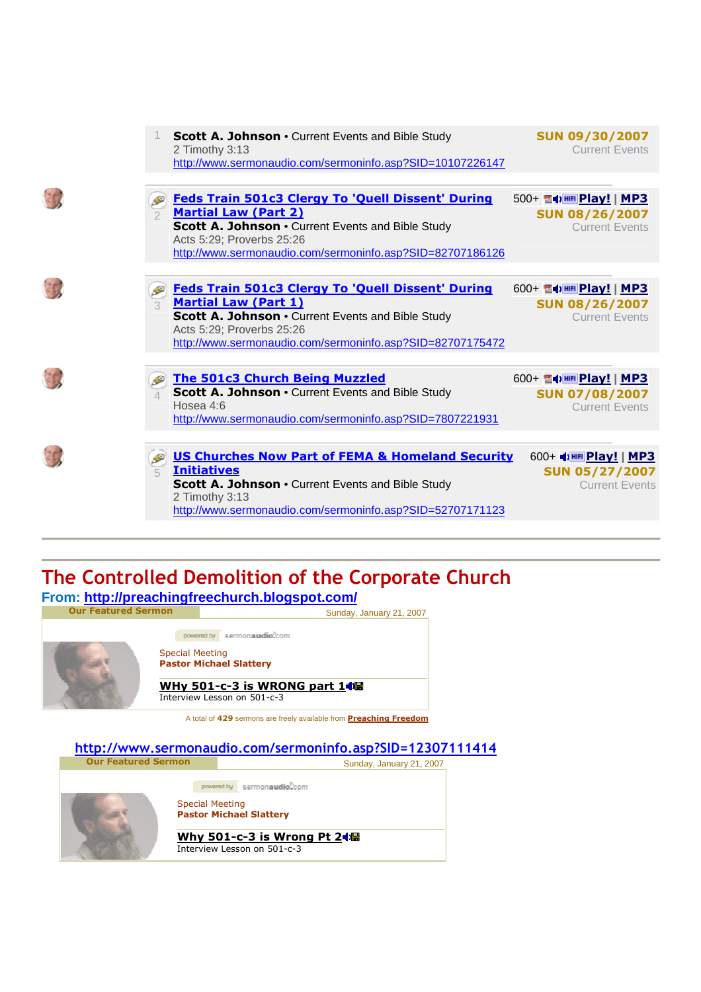|               | <b>Scott A. Johnson • Current Events and Bible Study</b><br>2 Timothy 3:13<br>http://www.sermonaudio.com/sermoninfo.asp?SID=10107226147                                                                                                | <b>SUN 09/30/2007</b><br><b>Current Events</b>                             |
|---------------|----------------------------------------------------------------------------------------------------------------------------------------------------------------------------------------------------------------------------------------|----------------------------------------------------------------------------|
|               | <b>Feds Train 501c3 Clergy To 'Quell Dissent' During</b><br><b>Martial Law (Part 2)</b><br>Scott A. Johnson . Current Events and Bible Study<br>Acts 5:29; Proverbs 25:26<br>http://www.sermonaudio.com/sermoninfo.asp?SID=82707186126 | 500+ 14   HE Play!   MP3<br><b>SUN 08/26/2007</b><br><b>Current Events</b> |
| $\mathcal{L}$ | <b>Feds Train 501c3 Clergy To 'Quell Dissent' During</b><br><b>Martial Law (Part 1)</b><br>Scott A. Johnson . Current Events and Bible Study<br>Acts 5:29; Proverbs 25:26<br>http://www.sermonaudio.com/sermoninfo.asp?SID=82707175472 | 600+ 雷中 HE Play!   MP3<br><b>SUN 08/26/2007</b><br><b>Current Events</b>   |
|               | <b>The 501c3 Church Being Muzzled</b><br>Scott A. Johnson . Current Events and Bible Study<br>Hosea 4:6<br>http://www.sermonaudio.com/sermoninfo.asp?SID=7807221931                                                                    | 600+ 雷中 HEI Play!   MP3<br><b>SUN 07/08/2007</b><br><b>Current Events</b>  |
| $\sqrt{2}$    | <b>US Churches Now Part of FEMA &amp; Homeland Security</b><br><b>Initiatives</b><br><b>Scott A. Johnson • Current Events and Bible Study</b><br>2 Timothy 3:13<br>http://www.sermonaudio.com/sermoninfo.asp?SID=52707171123           | 600+ + HF Play!   МРЗ<br><b>SUN 05/27/2007</b><br><b>Current Events</b>    |

# **The Controlled Demolition of the Corporate Church**

**From: http://preachingfreechurch.blogspot.com/** 



**http://www.sermonaudio.com/sermoninfo.asp?SID=12307111414**

Sunday, January 21, 2007 powered by sermonaudioCcom Special Meeting **Pastor Michael Slattery Why 501-c-3 is Wrong Pt 2** Interview Lesson on 501-c-3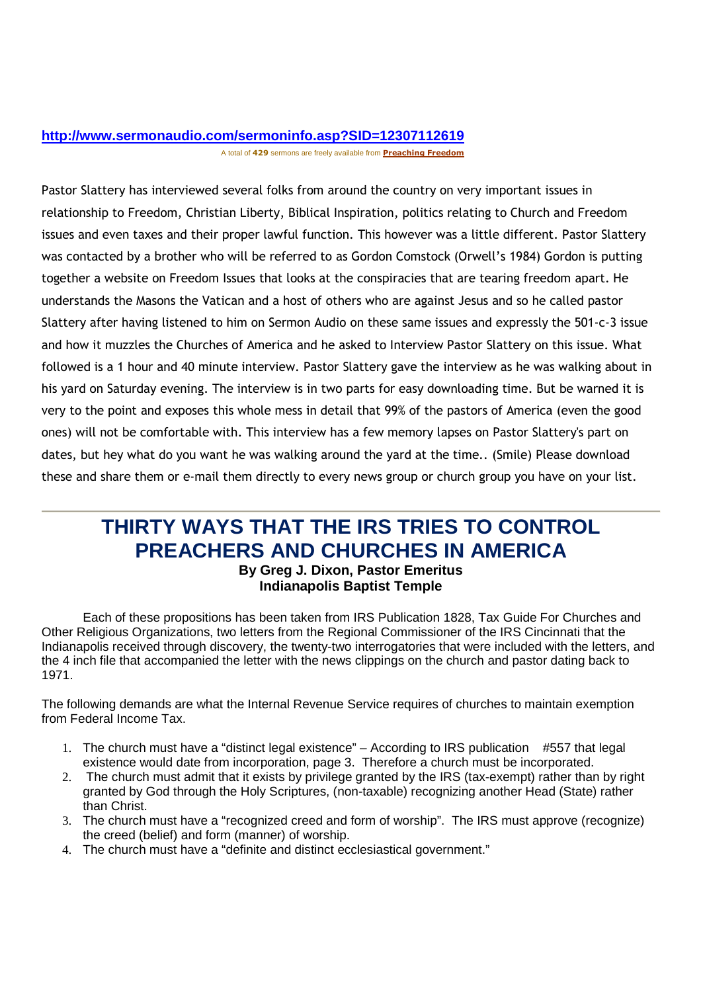### **http://www.sermonaudio.com/sermoninfo.asp?SID=12307112619** A total of **429** sermons are freely available from **Preaching Freedom**

Pastor Slattery has interviewed several folks from around the country on very important issues in relationship to Freedom, Christian Liberty, Biblical Inspiration, politics relating to Church and Freedom issues and even taxes and their proper lawful function. This however was a little different. Pastor Slattery was contacted by a brother who will be referred to as Gordon Comstock (Orwell's 1984) Gordon is putting together a website on Freedom Issues that looks at the conspiracies that are tearing freedom apart. He understands the Masons the Vatican and a host of others who are against Jesus and so he called pastor Slattery after having listened to him on Sermon Audio on these same issues and expressly the 501-c-3 issue and how it muzzles the Churches of America and he asked to Interview Pastor Slattery on this issue. What followed is a 1 hour and 40 minute interview. Pastor Slattery gave the interview as he was walking about in his yard on Saturday evening. The interview is in two parts for easy downloading time. But be warned it is very to the point and exposes this whole mess in detail that 99% of the pastors of America (even the good ones) will not be comfortable with. This interview has a few memory lapses on Pastor Slattery's part on dates, but hey what do you want he was walking around the yard at the time.. (Smile) Please download these and share them or e-mail them directly to every news group or church group you have on your list.

# **THIRTY WAYS THAT THE IRS TRIES TO CONTROL PREACHERS AND CHURCHES IN AMERICA**

### **By Greg J. Dixon, Pastor Emeritus Indianapolis Baptist Temple**

Each of these propositions has been taken from IRS Publication 1828, Tax Guide For Churches and Other Religious Organizations, two letters from the Regional Commissioner of the IRS Cincinnati that the Indianapolis received through discovery, the twenty-two interrogatories that were included with the letters, and the 4 inch file that accompanied the letter with the news clippings on the church and pastor dating back to 1971.

The following demands are what the Internal Revenue Service requires of churches to maintain exemption from Federal Income Tax.

- 1. The church must have a "distinct legal existence" According to IRS publication #557 that legal existence would date from incorporation, page 3. Therefore a church must be incorporated.
- 2. The church must admit that it exists by privilege granted by the IRS (tax-exempt) rather than by right granted by God through the Holy Scriptures, (non-taxable) recognizing another Head (State) rather than Christ.
- 3. The church must have a "recognized creed and form of worship". The IRS must approve (recognize) the creed (belief) and form (manner) of worship.
- 4. The church must have a "definite and distinct ecclesiastical government."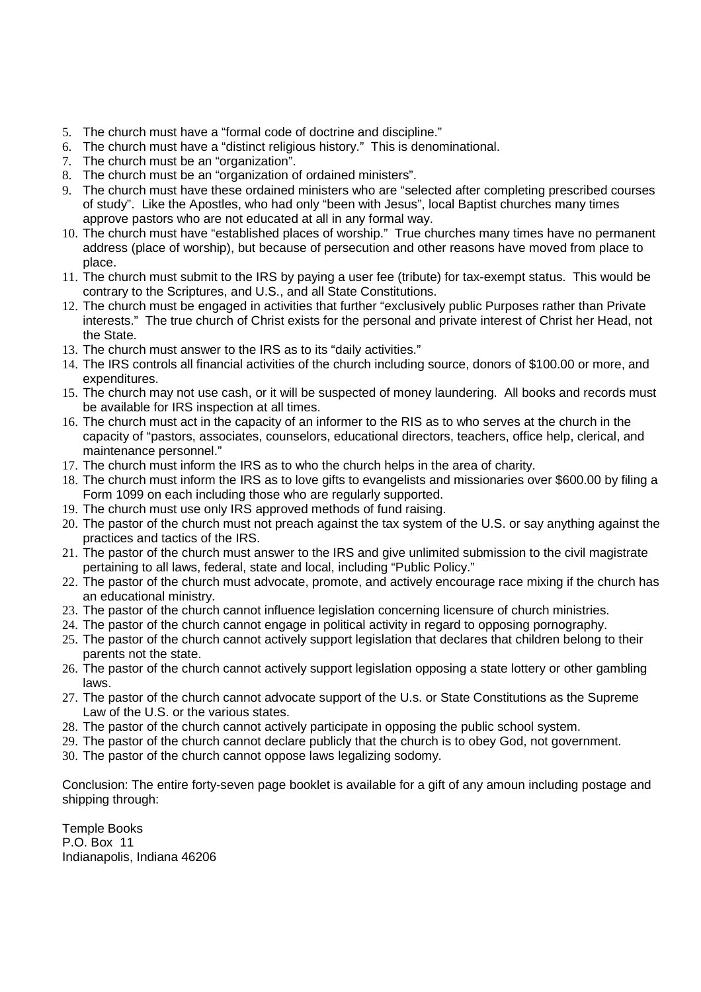- 5. The church must have a "formal code of doctrine and discipline."
- 6. The church must have a "distinct religious history." This is denominational.
- 7. The church must be an "organization".
- 8. The church must be an "organization of ordained ministers".
- 9. The church must have these ordained ministers who are "selected after completing prescribed courses of study". Like the Apostles, who had only "been with Jesus", local Baptist churches many times approve pastors who are not educated at all in any formal way.
- 10. The church must have "established places of worship." True churches many times have no permanent address (place of worship), but because of persecution and other reasons have moved from place to place.
- 11. The church must submit to the IRS by paying a user fee (tribute) for tax-exempt status. This would be contrary to the Scriptures, and U.S., and all State Constitutions.
- 12. The church must be engaged in activities that further "exclusively public Purposes rather than Private interests." The true church of Christ exists for the personal and private interest of Christ her Head, not the State.
- 13. The church must answer to the IRS as to its "daily activities."
- 14. The IRS controls all financial activities of the church including source, donors of \$100.00 or more, and expenditures.
- 15. The church may not use cash, or it will be suspected of money laundering. All books and records must be available for IRS inspection at all times.
- 16. The church must act in the capacity of an informer to the RIS as to who serves at the church in the capacity of "pastors, associates, counselors, educational directors, teachers, office help, clerical, and maintenance personnel."
- 17. The church must inform the IRS as to who the church helps in the area of charity.
- 18. The church must inform the IRS as to love gifts to evangelists and missionaries over \$600.00 by filing a Form 1099 on each including those who are regularly supported.
- 19. The church must use only IRS approved methods of fund raising.
- 20. The pastor of the church must not preach against the tax system of the U.S. or say anything against the practices and tactics of the IRS.
- 21. The pastor of the church must answer to the IRS and give unlimited submission to the civil magistrate pertaining to all laws, federal, state and local, including "Public Policy."
- 22. The pastor of the church must advocate, promote, and actively encourage race mixing if the church has an educational ministry.
- 23. The pastor of the church cannot influence legislation concerning licensure of church ministries.
- 24. The pastor of the church cannot engage in political activity in regard to opposing pornography.
- 25. The pastor of the church cannot actively support legislation that declares that children belong to their parents not the state.
- 26. The pastor of the church cannot actively support legislation opposing a state lottery or other gambling laws.
- 27. The pastor of the church cannot advocate support of the U.s. or State Constitutions as the Supreme Law of the U.S. or the various states.
- 28. The pastor of the church cannot actively participate in opposing the public school system.
- 29. The pastor of the church cannot declare publicly that the church is to obey God, not government.
- 30. The pastor of the church cannot oppose laws legalizing sodomy.

Conclusion: The entire forty-seven page booklet is available for a gift of any amoun including postage and shipping through:

Temple Books P.O. Box 11 Indianapolis, Indiana 46206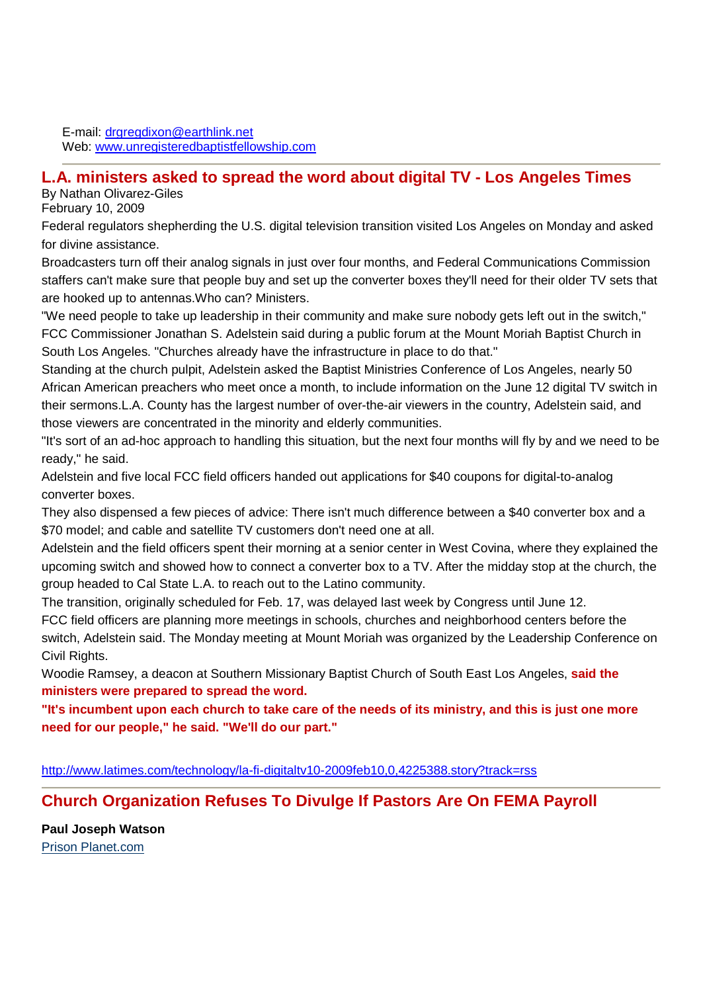E-mail: drgregdixon@earthlink.net Web: www.unregisteredbaptistfellowship.com

### **L.A. ministers asked to spread the word about digital TV - Los Angeles Times**

By Nathan Olivarez-Giles

February 10, 2009

Federal regulators shepherding the U.S. digital television transition visited Los Angeles on Monday and asked for divine assistance.

Broadcasters turn off their analog signals in just over four months, and Federal Communications Commission staffers can't make sure that people buy and set up the converter boxes they'll need for their older TV sets that are hooked up to antennas.Who can? Ministers.

"We need people to take up leadership in their community and make sure nobody gets left out in the switch," FCC Commissioner Jonathan S. Adelstein said during a public forum at the Mount Moriah Baptist Church in South Los Angeles. "Churches already have the infrastructure in place to do that."

Standing at the church pulpit, Adelstein asked the Baptist Ministries Conference of Los Angeles, nearly 50 African American preachers who meet once a month, to include information on the June 12 digital TV switch in their sermons.L.A. County has the largest number of over-the-air viewers in the country, Adelstein said, and those viewers are concentrated in the minority and elderly communities.

"It's sort of an ad-hoc approach to handling this situation, but the next four months will fly by and we need to be ready," he said.

Adelstein and five local FCC field officers handed out applications for \$40 coupons for digital-to-analog converter boxes.

They also dispensed a few pieces of advice: There isn't much difference between a \$40 converter box and a \$70 model; and cable and satellite TV customers don't need one at all.

Adelstein and the field officers spent their morning at a senior center in West Covina, where they explained the upcoming switch and showed how to connect a converter box to a TV. After the midday stop at the church, the group headed to Cal State L.A. to reach out to the Latino community.

The transition, originally scheduled for Feb. 17, was delayed last week by Congress until June 12.

FCC field officers are planning more meetings in schools, churches and neighborhood centers before the switch, Adelstein said. The Monday meeting at Mount Moriah was organized by the Leadership Conference on Civil Rights.

Woodie Ramsey, a deacon at Southern Missionary Baptist Church of South East Los Angeles, **said the ministers were prepared to spread the word.** 

**"It's incumbent upon each church to take care of the needs of its ministry, and this is just one more need for our people," he said. "We'll do our part."**

http://www.latimes.com/technology/la-fi-digitaltv10-2009feb10,0,4225388.story?track=rss

## **Church Organization Refuses To Divulge If Pastors Are On FEMA Payroll**

**Paul Joseph Watson** Prison Planet.com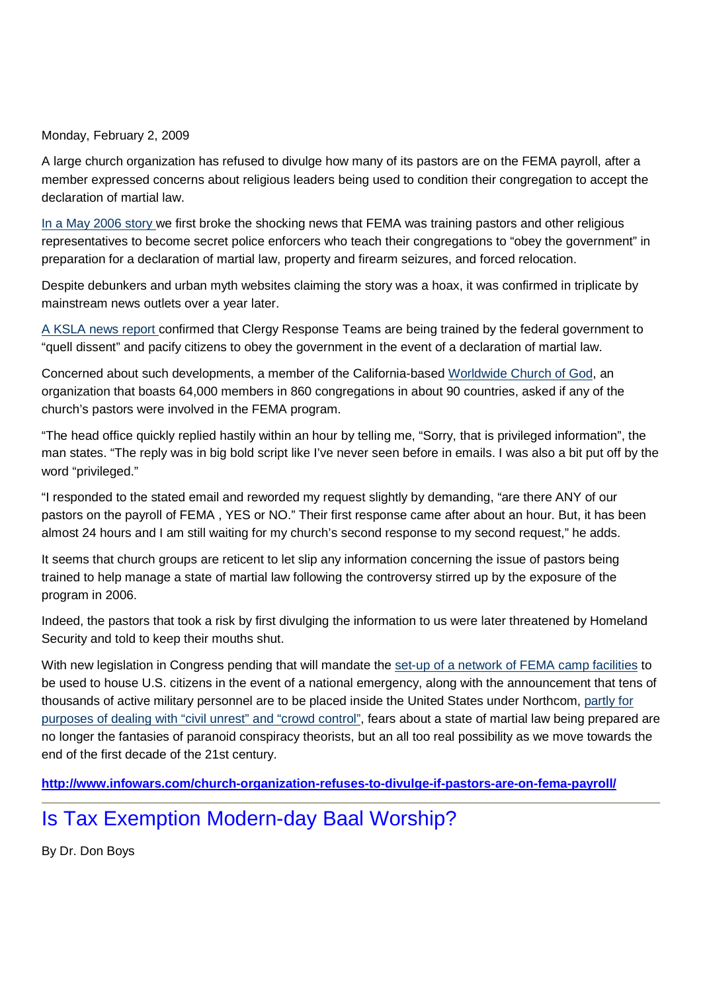Monday, February 2, 2009

A large church organization has refused to divulge how many of its pastors are on the FEMA payroll, after a member expressed concerns about religious leaders being used to condition their congregation to accept the declaration of martial law.

In a May 2006 story we first broke the shocking news that FEMA was training pastors and other religious representatives to become secret police enforcers who teach their congregations to "obey the government" in preparation for a declaration of martial law, property and firearm seizures, and forced relocation.

Despite debunkers and urban myth websites claiming the story was a hoax, it was confirmed in triplicate by mainstream news outlets over a year later.

A KSLA news report confirmed that Clergy Response Teams are being trained by the federal government to "quell dissent" and pacify citizens to obey the government in the event of a declaration of martial law.

Concerned about such developments, a member of the California-based Worldwide Church of God, an organization that boasts 64,000 members in 860 congregations in about 90 countries, asked if any of the church's pastors were involved in the FEMA program.

"The head office quickly replied hastily within an hour by telling me, "Sorry, that is privileged information", the man states. "The reply was in big bold script like I've never seen before in emails. I was also a bit put off by the word "privileged."

"I responded to the stated email and reworded my request slightly by demanding, "are there ANY of our pastors on the payroll of FEMA , YES or NO." Their first response came after about an hour. But, it has been almost 24 hours and I am still waiting for my church's second response to my second request," he adds.

It seems that church groups are reticent to let slip any information concerning the issue of pastors being trained to help manage a state of martial law following the controversy stirred up by the exposure of the program in 2006.

Indeed, the pastors that took a risk by first divulging the information to us were later threatened by Homeland Security and told to keep their mouths shut.

With new legislation in Congress pending that will mandate the set-up of a network of FEMA camp facilities to be used to house U.S. citizens in the event of a national emergency, along with the announcement that tens of thousands of active military personnel are to be placed inside the United States under Northcom, partly for purposes of dealing with "civil unrest" and "crowd control", fears about a state of martial law being prepared are no longer the fantasies of paranoid conspiracy theorists, but an all too real possibility as we move towards the end of the first decade of the 21st century.

**http://www.infowars.com/church-organization-refuses-to-divulge-if-pastors-are-on-fema-payroll/**

## Is Tax Exemption Modern-day Baal Worship?

By Dr. Don Boys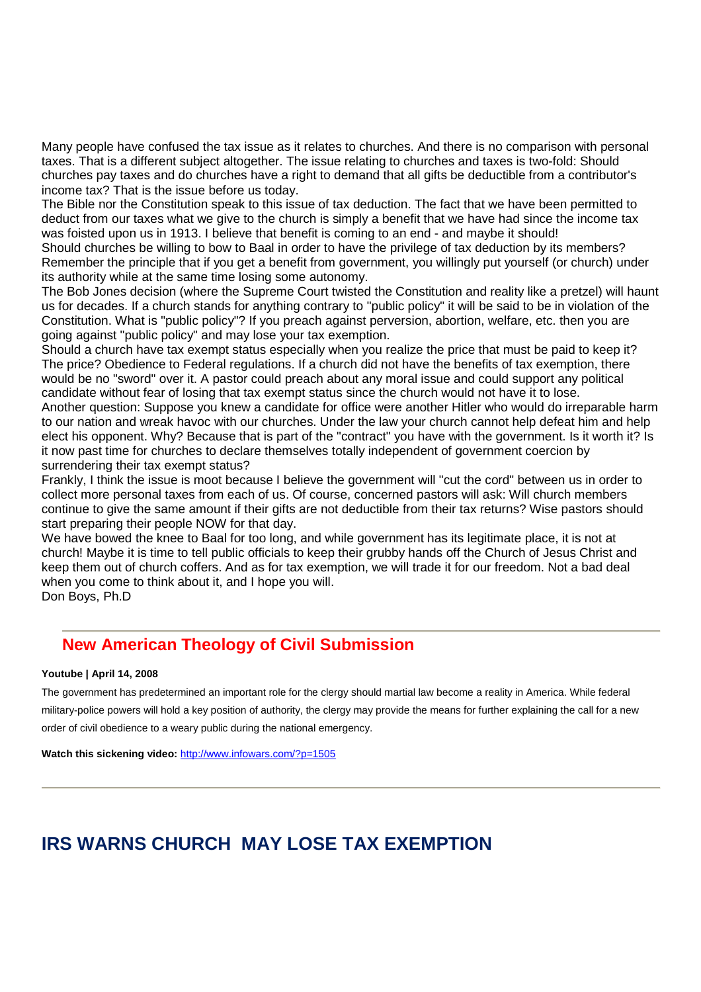Many people have confused the tax issue as it relates to churches. And there is no comparison with personal taxes. That is a different subject altogether. The issue relating to churches and taxes is two-fold: Should churches pay taxes and do churches have a right to demand that all gifts be deductible from a contributor's income tax? That is the issue before us today.

The Bible nor the Constitution speak to this issue of tax deduction. The fact that we have been permitted to deduct from our taxes what we give to the church is simply a benefit that we have had since the income tax was foisted upon us in 1913. I believe that benefit is coming to an end - and maybe it should!

Should churches be willing to bow to Baal in order to have the privilege of tax deduction by its members? Remember the principle that if you get a benefit from government, you willingly put yourself (or church) under its authority while at the same time losing some autonomy.

The Bob Jones decision (where the Supreme Court twisted the Constitution and reality like a pretzel) will haunt us for decades. If a church stands for anything contrary to "public policy" it will be said to be in violation of the Constitution. What is "public policy"? If you preach against perversion, abortion, welfare, etc. then you are going against "public policy" and may lose your tax exemption.

Should a church have tax exempt status especially when you realize the price that must be paid to keep it? The price? Obedience to Federal regulations. If a church did not have the benefits of tax exemption, there would be no "sword" over it. A pastor could preach about any moral issue and could support any political candidate without fear of losing that tax exempt status since the church would not have it to lose. Another question: Suppose you knew a candidate for office were another Hitler who would do irreparable harm to our nation and wreak havoc with our churches. Under the law your church cannot help defeat him and help elect his opponent. Why? Because that is part of the "contract" you have with the government. Is it worth it? Is it now past time for churches to declare themselves totally independent of government coercion by

surrendering their tax exempt status?

Frankly, I think the issue is moot because I believe the government will "cut the cord" between us in order to collect more personal taxes from each of us. Of course, concerned pastors will ask: Will church members continue to give the same amount if their gifts are not deductible from their tax returns? Wise pastors should start preparing their people NOW for that day.

We have bowed the knee to Baal for too long, and while government has its legitimate place, it is not at church! Maybe it is time to tell public officials to keep their grubby hands off the Church of Jesus Christ and keep them out of church coffers. And as for tax exemption, we will trade it for our freedom. Not a bad deal when you come to think about it, and I hope you will. Don Boys, Ph.D

## **New American Theology of Civil Submission**

#### **Youtube | April 14, 2008**

The government has predetermined an important role for the clergy should martial law become a reality in America. While federal military-police powers will hold a key position of authority, the clergy may provide the means for further explaining the call for a new order of civil obedience to a weary public during the national emergency.

Watch this sickening video: http://www.infowars.com/?p=1505

## **IRS WARNS CHURCH MAY LOSE TAX EXEMPTION**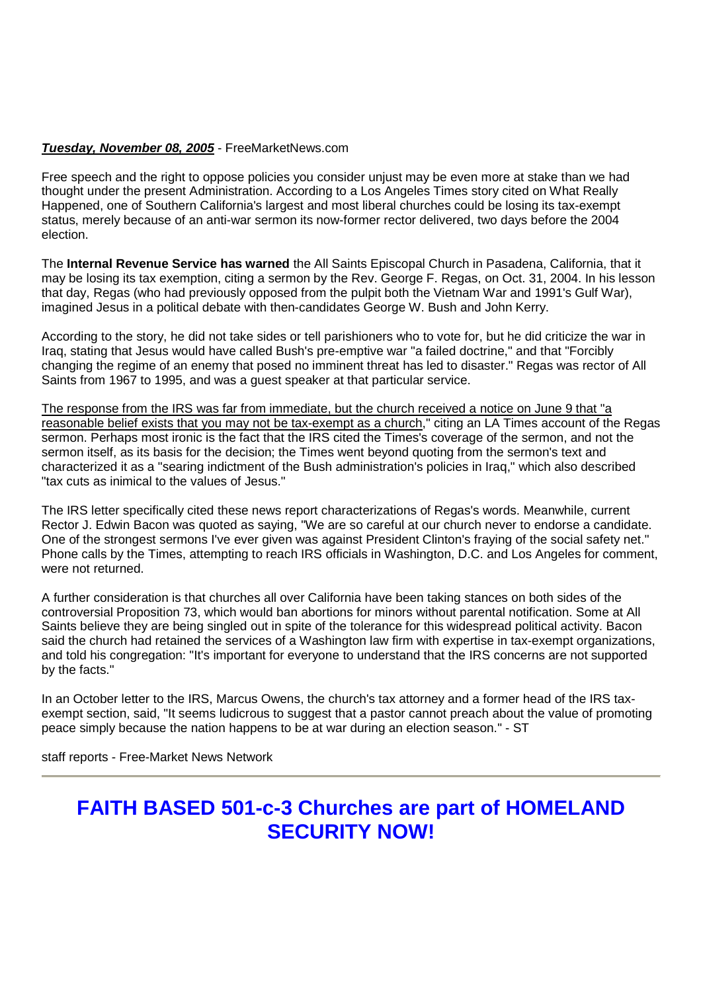#### **Tuesday, November 08, 2005** - FreeMarketNews.com

Free speech and the right to oppose policies you consider unjust may be even more at stake than we had thought under the present Administration. According to a Los Angeles Times story cited on What Really Happened, one of Southern California's largest and most liberal churches could be losing its tax-exempt status, merely because of an anti-war sermon its now-former rector delivered, two days before the 2004 election.

The **Internal Revenue Service has warned** the All Saints Episcopal Church in Pasadena, California, that it may be losing its tax exemption, citing a sermon by the Rev. George F. Regas, on Oct. 31, 2004. In his lesson that day, Regas (who had previously opposed from the pulpit both the Vietnam War and 1991's Gulf War), imagined Jesus in a political debate with then-candidates George W. Bush and John Kerry.

According to the story, he did not take sides or tell parishioners who to vote for, but he did criticize the war in Iraq, stating that Jesus would have called Bush's pre-emptive war "a failed doctrine," and that "Forcibly changing the regime of an enemy that posed no imminent threat has led to disaster." Regas was rector of All Saints from 1967 to 1995, and was a guest speaker at that particular service.

The response from the IRS was far from immediate, but the church received a notice on June 9 that "a reasonable belief exists that you may not be tax-exempt as a church," citing an LA Times account of the Regas sermon. Perhaps most ironic is the fact that the IRS cited the Times's coverage of the sermon, and not the sermon itself, as its basis for the decision; the Times went beyond quoting from the sermon's text and characterized it as a "searing indictment of the Bush administration's policies in Iraq," which also described "tax cuts as inimical to the values of Jesus."

The IRS letter specifically cited these news report characterizations of Regas's words. Meanwhile, current Rector J. Edwin Bacon was quoted as saying, "We are so careful at our church never to endorse a candidate. One of the strongest sermons I've ever given was against President Clinton's fraying of the social safety net." Phone calls by the Times, attempting to reach IRS officials in Washington, D.C. and Los Angeles for comment, were not returned.

A further consideration is that churches all over California have been taking stances on both sides of the controversial Proposition 73, which would ban abortions for minors without parental notification. Some at All Saints believe they are being singled out in spite of the tolerance for this widespread political activity. Bacon said the church had retained the services of a Washington law firm with expertise in tax-exempt organizations, and told his congregation: "It's important for everyone to understand that the IRS concerns are not supported by the facts."

In an October letter to the IRS, Marcus Owens, the church's tax attorney and a former head of the IRS taxexempt section, said, "It seems ludicrous to suggest that a pastor cannot preach about the value of promoting peace simply because the nation happens to be at war during an election season." - ST

staff reports - Free-Market News Network

## **FAITH BASED 501-c-3 Churches are part of HOMELAND SECURITY NOW!**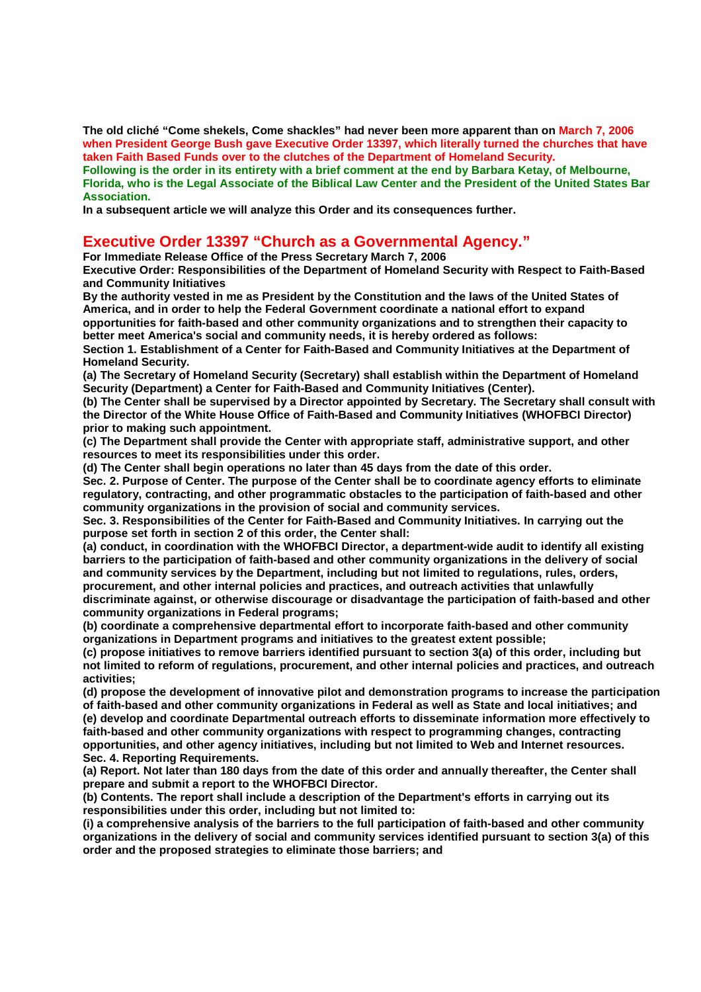**The old cliché "Come shekels, Come shackles" had never been more apparent than on March 7, 2006 when President George Bush gave Executive Order 13397, which literally turned the churches that have taken Faith Based Funds over to the clutches of the Department of Homeland Security. Following is the order in its entirety with a brief comment at the end by Barbara Ketay, of Melbourne, Florida, who is the Legal Associate of the Biblical Law Center and the President of the United States Bar Association.**

**In a subsequent article we will analyze this Order and its consequences further.** 

### **Executive Order 13397 "Church as a Governmental Agency."**

**For Immediate Release Office of the Press Secretary March 7, 2006** 

**Executive Order: Responsibilities of the Department of Homeland Security with Respect to Faith-Based and Community Initiatives** 

**By the authority vested in me as President by the Constitution and the laws of the United States of America, and in order to help the Federal Government coordinate a national effort to expand opportunities for faith-based and other community organizations and to strengthen their capacity to better meet America's social and community needs, it is hereby ordered as follows:** 

**Section 1. Establishment of a Center for Faith-Based and Community Initiatives at the Department of Homeland Security.** 

**(a) The Secretary of Homeland Security (Secretary) shall establish within the Department of Homeland Security (Department) a Center for Faith-Based and Community Initiatives (Center).** 

**(b) The Center shall be supervised by a Director appointed by Secretary. The Secretary shall consult with the Director of the White House Office of Faith-Based and Community Initiatives (WHOFBCI Director) prior to making such appointment.** 

**(c) The Department shall provide the Center with appropriate staff, administrative support, and other resources to meet its responsibilities under this order.** 

**(d) The Center shall begin operations no later than 45 days from the date of this order.** 

**Sec. 2. Purpose of Center. The purpose of the Center shall be to coordinate agency efforts to eliminate regulatory, contracting, and other programmatic obstacles to the participation of faith-based and other community organizations in the provision of social and community services.** 

**Sec. 3. Responsibilities of the Center for Faith-Based and Community Initiatives. In carrying out the purpose set forth in section 2 of this order, the Center shall:** 

**(a) conduct, in coordination with the WHOFBCI Director, a department-wide audit to identify all existing barriers to the participation of faith-based and other community organizations in the delivery of social and community services by the Department, including but not limited to regulations, rules, orders, procurement, and other internal policies and practices, and outreach activities that unlawfully discriminate against, or otherwise discourage or disadvantage the participation of faith-based and other community organizations in Federal programs;** 

**(b) coordinate a comprehensive departmental effort to incorporate faith-based and other community organizations in Department programs and initiatives to the greatest extent possible;** 

**(c) propose initiatives to remove barriers identified pursuant to section 3(a) of this order, including but not limited to reform of regulations, procurement, and other internal policies and practices, and outreach activities;** 

**(d) propose the development of innovative pilot and demonstration programs to increase the participation of faith-based and other community organizations in Federal as well as State and local initiatives; and (e) develop and coordinate Departmental outreach efforts to disseminate information more effectively to faith-based and other community organizations with respect to programming changes, contracting opportunities, and other agency initiatives, including but not limited to Web and Internet resources. Sec. 4. Reporting Requirements.** 

**(a) Report. Not later than 180 days from the date of this order and annually thereafter, the Center shall prepare and submit a report to the WHOFBCI Director.** 

**(b) Contents. The report shall include a description of the Department's efforts in carrying out its responsibilities under this order, including but not limited to:** 

**(i) a comprehensive analysis of the barriers to the full participation of faith-based and other community organizations in the delivery of social and community services identified pursuant to section 3(a) of this order and the proposed strategies to eliminate those barriers; and**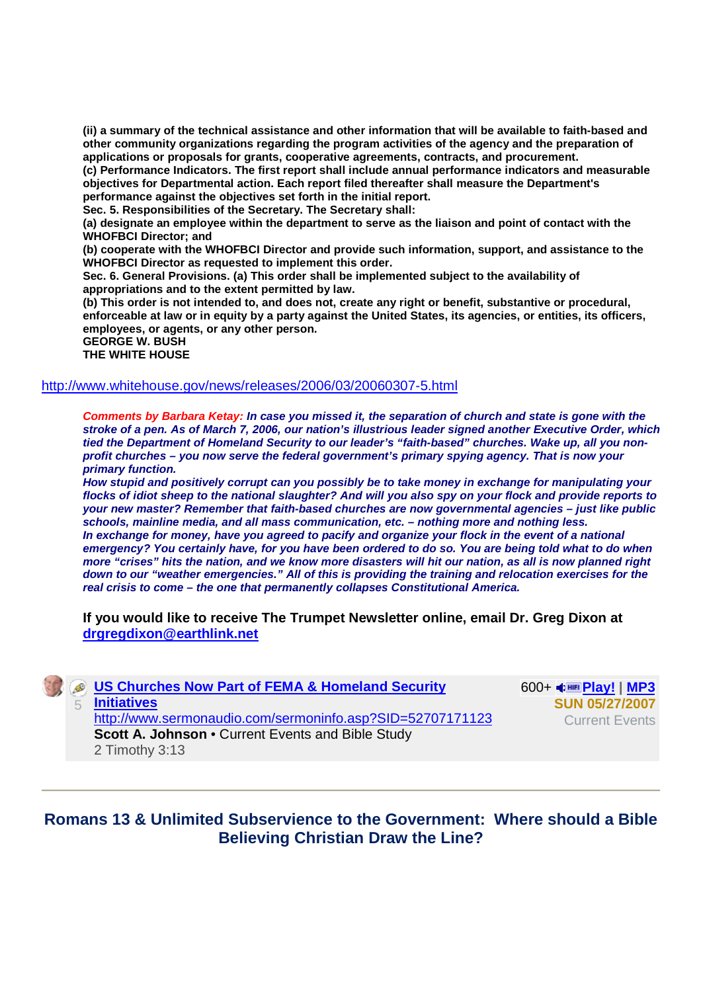**(ii) a summary of the technical assistance and other information that will be available to faith-based and other community organizations regarding the program activities of the agency and the preparation of applications or proposals for grants, cooperative agreements, contracts, and procurement.** 

**(c) Performance Indicators. The first report shall include annual performance indicators and measurable objectives for Departmental action. Each report filed thereafter shall measure the Department's performance against the objectives set forth in the initial report.** 

**Sec. 5. Responsibilities of the Secretary. The Secretary shall:** 

**(a) designate an employee within the department to serve as the liaison and point of contact with the WHOFBCI Director; and** 

**(b) cooperate with the WHOFBCI Director and provide such information, support, and assistance to the WHOFBCI Director as requested to implement this order.** 

**Sec. 6. General Provisions. (a) This order shall be implemented subject to the availability of appropriations and to the extent permitted by law.** 

**(b) This order is not intended to, and does not, create any right or benefit, substantive or procedural, enforceable at law or in equity by a party against the United States, its agencies, or entities, its officers, employees, or agents, or any other person. GEORGE W. BUSH** 

**THE WHITE HOUSE** 

#### http://www.whitehouse.gov/news/releases/2006/03/20060307-5.html

**Comments by Barbara Ketay: In case you missed it, the separation of church and state is gone with the stroke of a pen. As of March 7, 2006, our nation's illustrious leader signed another Executive Order, which tied the Department of Homeland Security to our leader's "faith-based" churches. Wake up, all you nonprofit churches – you now serve the federal government's primary spying agency. That is now your primary function.** 

**How stupid and positively corrupt can you possibly be to take money in exchange for manipulating your flocks of idiot sheep to the national slaughter? And will you also spy on your flock and provide reports to your new master? Remember that faith-based churches are now governmental agencies – just like public schools, mainline media, and all mass communication, etc. – nothing more and nothing less. In exchange for money, have you agreed to pacify and organize your flock in the event of a national emergency? You certainly have, for you have been ordered to do so. You are being told what to do when more "crises" hits the nation, and we know more disasters will hit our nation, as all is now planned right down to our "weather emergencies." All of this is providing the training and relocation exercises for the real crisis to come – the one that permanently collapses Constitutional America.** 

**If you would like to receive The Trumpet Newsletter online, email Dr. Greg Dixon at drgregdixon@earthlink.net** 

|  | <b>SECONDED SCHUTCHES NOW Part of FEMA &amp; Homeland Security</b> | 600+<br><sub>MP3</sub> |
|--|--------------------------------------------------------------------|------------------------|
|  | <b>Initiatives</b>                                                 | <b>SUN 05/27/2007</b>  |
|  | http://www.sermonaudio.com/sermoninfo.asp?SID=52707171123          | <b>Current Events</b>  |
|  | <b>Scott A. Johnson • Current Events and Bible Study</b>           |                        |
|  | 2 Timothy 3:13                                                     |                        |

**Romans 13 & Unlimited Subservience to the Government: Where should a Bible Believing Christian Draw the Line?**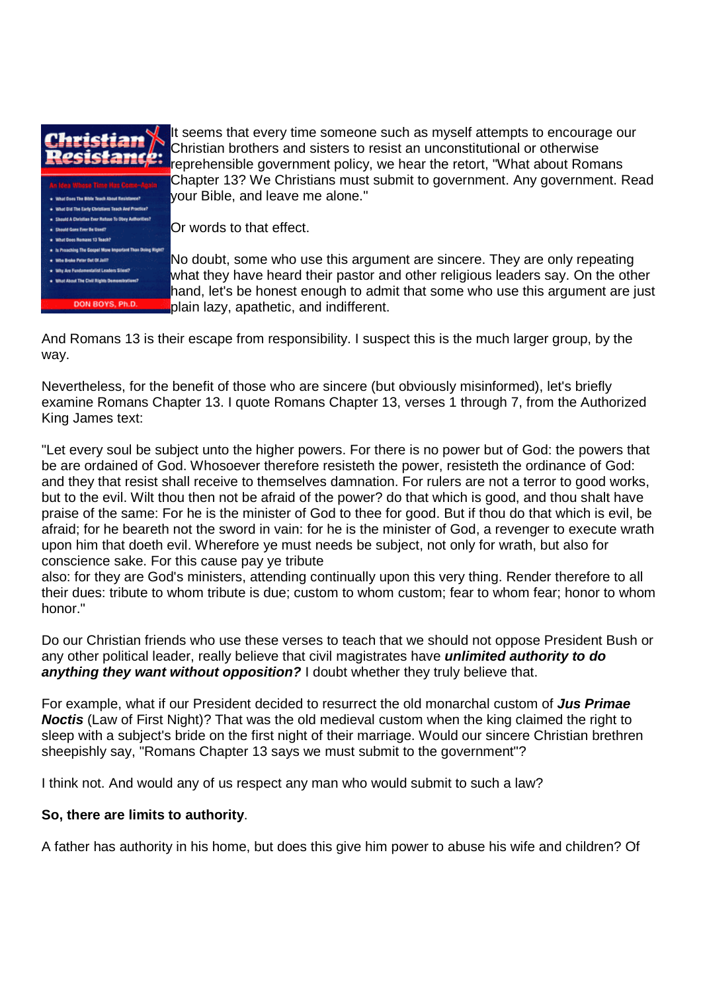

It seems that every time someone such as myself attempts to encourage our Christian brothers and sisters to resist an unconstitutional or otherwise *P* Prinside Bound and closes to receive the control of the retort, "What about Romans Chapter 13? We Christians must submit to government. Any government. Read your Bible, and leave me alone."

Or words to that effect.

No doubt, some who use this argument are sincere. They are only repeating what they have heard their pastor and other religious leaders say. On the other hand, let's be honest enough to admit that some who use this argument are just plain lazy, apathetic, and indifferent.

And Romans 13 is their escape from responsibility. I suspect this is the much larger group, by the way.

Nevertheless, for the benefit of those who are sincere (but obviously misinformed), let's briefly examine Romans Chapter 13. I quote Romans Chapter 13, verses 1 through 7, from the Authorized King James text:

"Let every soul be subject unto the higher powers. For there is no power but of God: the powers that be are ordained of God. Whosoever therefore resisteth the power, resisteth the ordinance of God: and they that resist shall receive to themselves damnation. For rulers are not a terror to good works, but to the evil. Wilt thou then not be afraid of the power? do that which is good, and thou shalt have praise of the same: For he is the minister of God to thee for good. But if thou do that which is evil, be afraid; for he beareth not the sword in vain: for he is the minister of God, a revenger to execute wrath upon him that doeth evil. Wherefore ye must needs be subject, not only for wrath, but also for conscience sake. For this cause pay ye tribute

also: for they are God's ministers, attending continually upon this very thing. Render therefore to all their dues: tribute to whom tribute is due; custom to whom custom; fear to whom fear; honor to whom honor."

Do our Christian friends who use these verses to teach that we should not oppose President Bush or any other political leader, really believe that civil magistrates have **unlimited authority to do anything they want without opposition?** I doubt whether they truly believe that.

For example, what if our President decided to resurrect the old monarchal custom of **Jus Primae Noctis** (Law of First Night)? That was the old medieval custom when the king claimed the right to sleep with a subject's bride on the first night of their marriage. Would our sincere Christian brethren sheepishly say, "Romans Chapter 13 says we must submit to the government"?

I think not. And would any of us respect any man who would submit to such a law?

### **So, there are limits to authority**.

A father has authority in his home, but does this give him power to abuse his wife and children? Of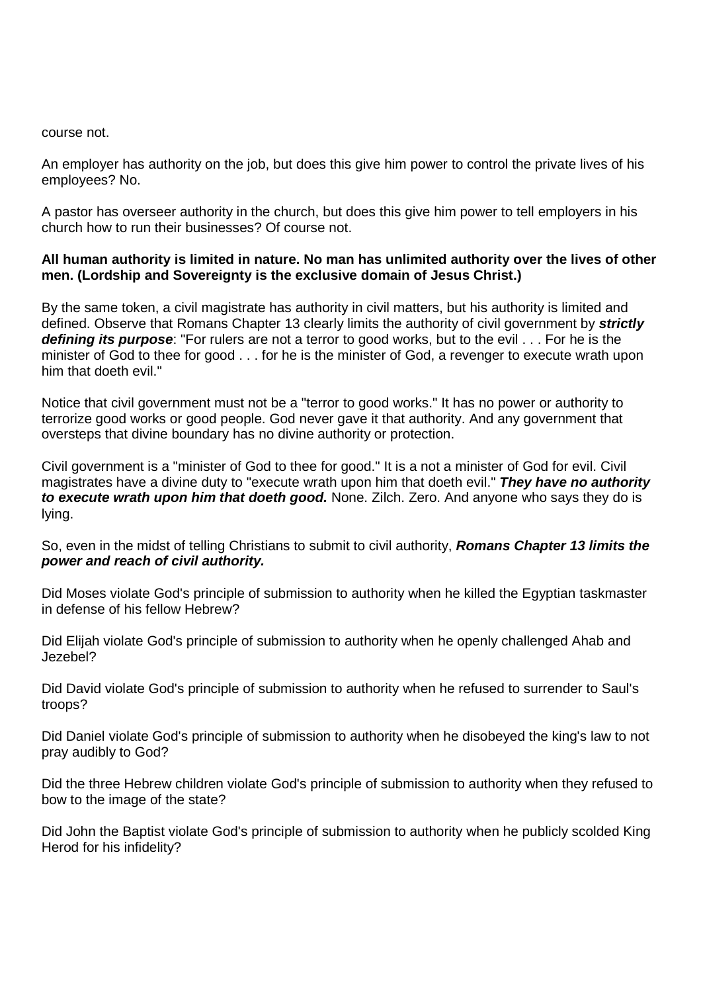#### course not.

An employer has authority on the job, but does this give him power to control the private lives of his employees? No.

A pastor has overseer authority in the church, but does this give him power to tell employers in his church how to run their businesses? Of course not.

#### **All human authority is limited in nature. No man has unlimited authority over the lives of other men. (Lordship and Sovereignty is the exclusive domain of Jesus Christ.)**

By the same token, a civil magistrate has authority in civil matters, but his authority is limited and defined. Observe that Romans Chapter 13 clearly limits the authority of civil government by **strictly defining its purpose**: "For rulers are not a terror to good works, but to the evil . . . For he is the minister of God to thee for good . . . for he is the minister of God, a revenger to execute wrath upon him that doeth evil."

Notice that civil government must not be a "terror to good works." It has no power or authority to terrorize good works or good people. God never gave it that authority. And any government that oversteps that divine boundary has no divine authority or protection.

Civil government is a "minister of God to thee for good." It is a not a minister of God for evil. Civil magistrates have a divine duty to "execute wrath upon him that doeth evil." **They have no authority to execute wrath upon him that doeth good.** None. Zilch. Zero. And anyone who says they do is lying.

So, even in the midst of telling Christians to submit to civil authority, **Romans Chapter 13 limits the power and reach of civil authority.**

Did Moses violate God's principle of submission to authority when he killed the Egyptian taskmaster in defense of his fellow Hebrew?

Did Elijah violate God's principle of submission to authority when he openly challenged Ahab and Jezebel?

Did David violate God's principle of submission to authority when he refused to surrender to Saul's troops?

Did Daniel violate God's principle of submission to authority when he disobeyed the king's law to not pray audibly to God?

Did the three Hebrew children violate God's principle of submission to authority when they refused to bow to the image of the state?

Did John the Baptist violate God's principle of submission to authority when he publicly scolded King Herod for his infidelity?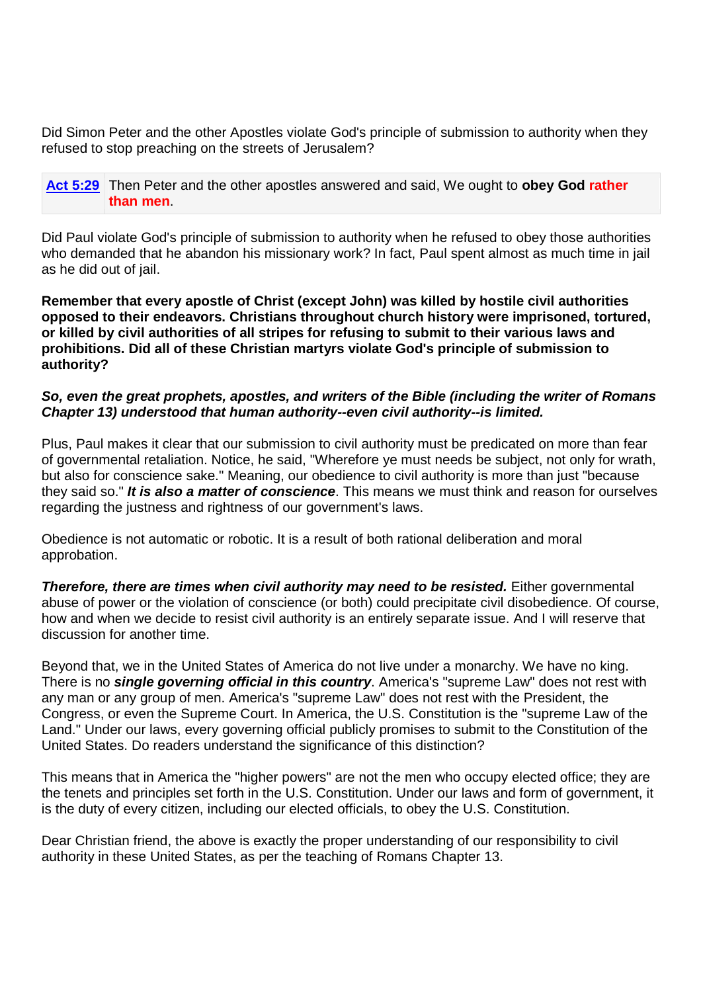Did Simon Peter and the other Apostles violate God's principle of submission to authority when they refused to stop preaching on the streets of Jerusalem?

**Act 5:29** Then Peter and the other apostles answered and said, We ought to **obey God rather than men**.

Did Paul violate God's principle of submission to authority when he refused to obey those authorities who demanded that he abandon his missionary work? In fact, Paul spent almost as much time in jail as he did out of jail.

**Remember that every apostle of Christ (except John) was killed by hostile civil authorities opposed to their endeavors. Christians throughout church history were imprisoned, tortured, or killed by civil authorities of all stripes for refusing to submit to their various laws and prohibitions. Did all of these Christian martyrs violate God's principle of submission to authority?** 

### **So, even the great prophets, apostles, and writers of the Bible (including the writer of Romans Chapter 13) understood that human authority--even civil authority--is limited.**

Plus, Paul makes it clear that our submission to civil authority must be predicated on more than fear of governmental retaliation. Notice, he said, "Wherefore ye must needs be subject, not only for wrath, but also for conscience sake." Meaning, our obedience to civil authority is more than just "because they said so." **It is also a matter of conscience**. This means we must think and reason for ourselves regarding the justness and rightness of our government's laws.

Obedience is not automatic or robotic. It is a result of both rational deliberation and moral approbation.

**Therefore, there are times when civil authority may need to be resisted.** Either governmental abuse of power or the violation of conscience (or both) could precipitate civil disobedience. Of course, how and when we decide to resist civil authority is an entirely separate issue. And I will reserve that discussion for another time.

Beyond that, we in the United States of America do not live under a monarchy. We have no king. There is no **single governing official in this country**. America's "supreme Law" does not rest with any man or any group of men. America's "supreme Law" does not rest with the President, the Congress, or even the Supreme Court. In America, the U.S. Constitution is the "supreme Law of the Land." Under our laws, every governing official publicly promises to submit to the Constitution of the United States. Do readers understand the significance of this distinction?

This means that in America the "higher powers" are not the men who occupy elected office; they are the tenets and principles set forth in the U.S. Constitution. Under our laws and form of government, it is the duty of every citizen, including our elected officials, to obey the U.S. Constitution.

Dear Christian friend, the above is exactly the proper understanding of our responsibility to civil authority in these United States, as per the teaching of Romans Chapter 13.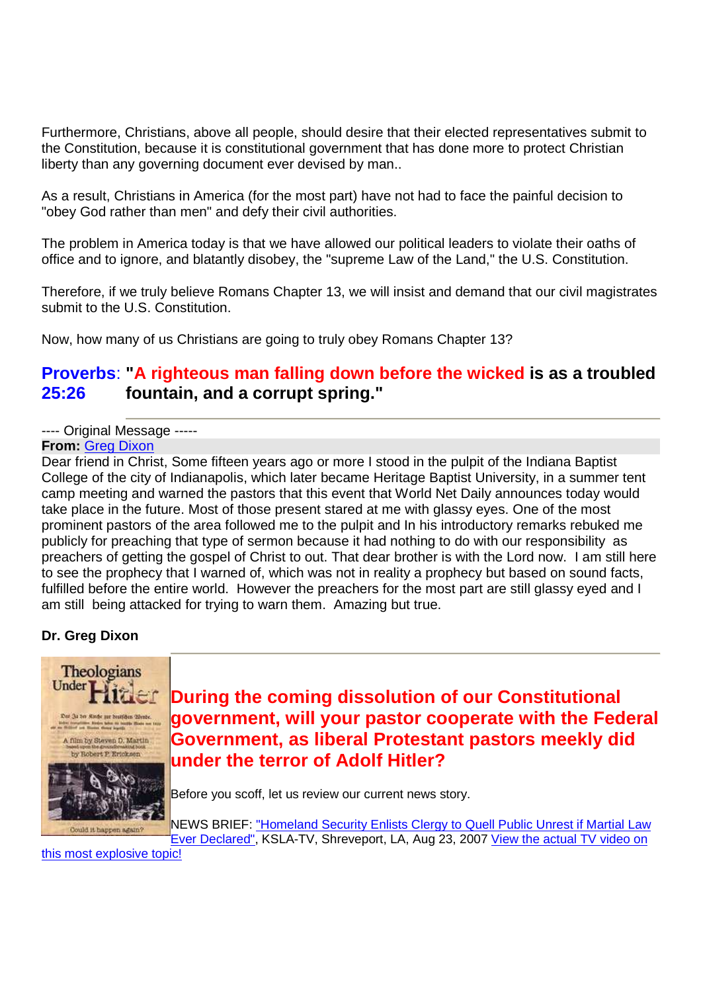Furthermore, Christians, above all people, should desire that their elected representatives submit to the Constitution, because it is constitutional government that has done more to protect Christian liberty than any governing document ever devised by man..

As a result, Christians in America (for the most part) have not had to face the painful decision to "obey God rather than men" and defy their civil authorities.

The problem in America today is that we have allowed our political leaders to violate their oaths of office and to ignore, and blatantly disobey, the "supreme Law of the Land," the U.S. Constitution.

Therefore, if we truly believe Romans Chapter 13, we will insist and demand that our civil magistrates submit to the U.S. Constitution.

Now, how many of us Christians are going to truly obey Romans Chapter 13?

#### Proverbs: "A righteous man falling down before the wicked is as a troubled **25:26 fountain, and a corrupt spring."**

---- Original Message -----

**From:** Greg Dixon

Dear friend in Christ, Some fifteen years ago or more I stood in the pulpit of the Indiana Baptist College of the city of Indianapolis, which later became Heritage Baptist University, in a summer tent camp meeting and warned the pastors that this event that World Net Daily announces today would take place in the future. Most of those present stared at me with glassy eyes. One of the most prominent pastors of the area followed me to the pulpit and In his introductory remarks rebuked me publicly for preaching that type of sermon because it had nothing to do with our responsibility as preachers of getting the gospel of Christ to out. That dear brother is with the Lord now. I am still here to see the prophecy that I warned of, which was not in reality a prophecy but based on sound facts, fulfilled before the entire world. However the preachers for the most part are still glassy eyed and I am still being attacked for trying to warn them. Amazing but true.

### **Dr. Greg Dixon**



**During the coming dissolution of our Constitutional government, will your pastor cooperate with the Federal Government, as liberal Protestant pastors meekly did under the terror of Adolf Hitler?**

Before you scoff, let us review our current news story.

NEWS BRIEF: "Homeland Security Enlists Clergy to Quell Public Unrest if Martial Law Ever Declared", KSLA-TV, Shreveport, LA, Aug 23, 2007 View the actual TV video on

this most explosive topic!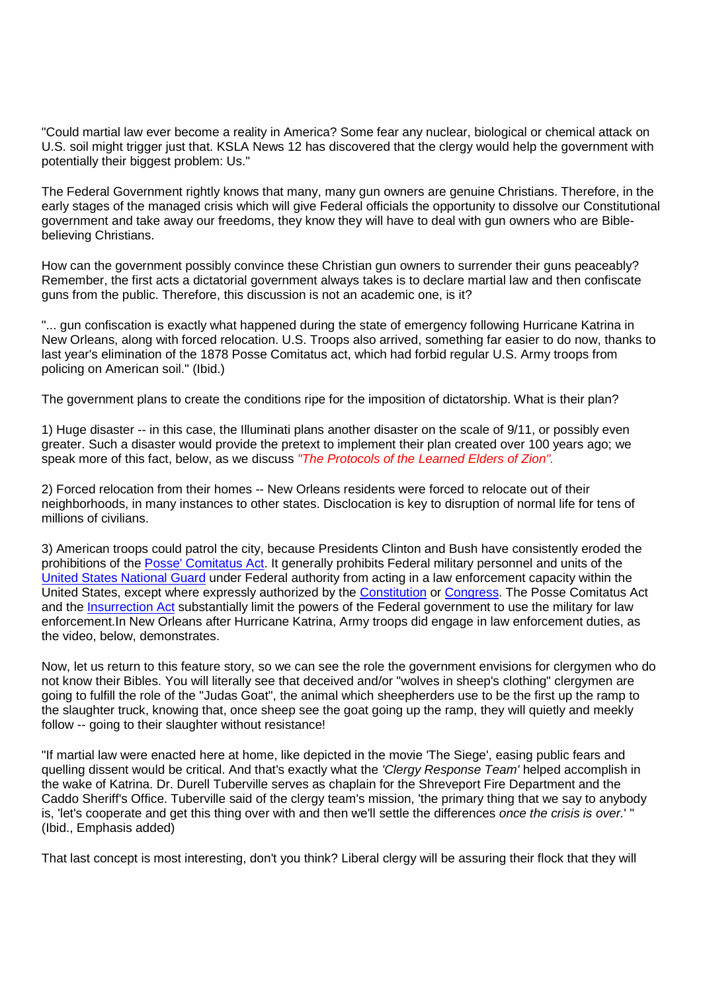"Could martial law ever become a reality in America? Some fear any nuclear, biological or chemical attack on U.S. soil might trigger just that. KSLA News 12 has discovered that the clergy would help the government with potentially their biggest problem: Us."

The Federal Government rightly knows that many, many gun owners are genuine Christians. Therefore, in the early stages of the managed crisis which will give Federal officials the opportunity to dissolve our Constitutional government and take away our freedoms, they know they will have to deal with gun owners who are Biblebelieving Christians.

How can the government possibly convince these Christian gun owners to surrender their guns peaceably? Remember, the first acts a dictatorial government always takes is to declare martial law and then confiscate guns from the public. Therefore, this discussion is not an academic one, is it?

"... gun confiscation is exactly what happened during the state of emergency following Hurricane Katrina in New Orleans, along with forced relocation. U.S. Troops also arrived, something far easier to do now, thanks to last year's elimination of the 1878 Posse Comitatus act, which had forbid regular U.S. Army troops from policing on American soil." (Ibid.)

The government plans to create the conditions ripe for the imposition of dictatorship. What is their plan?

1) Huge disaster -- in this case, the Illuminati plans another disaster on the scale of 9/11, or possibly even greater. Such a disaster would provide the pretext to implement their plan created over 100 years ago; we speak more of this fact, below, as we discuss "The Protocols of the Learned Elders of Zion".

2) Forced relocation from their homes -- New Orleans residents were forced to relocate out of their neighborhoods, in many instances to other states. Disclocation is key to disruption of normal life for tens of millions of civilians.

3) American troops could patrol the city, because Presidents Clinton and Bush have consistently eroded the prohibitions of the Posse' Comitatus Act. It generally prohibits Federal military personnel and units of the United States National Guard under Federal authority from acting in a law enforcement capacity within the United States, except where expressly authorized by the Constitution or Congress. The Posse Comitatus Act and the Insurrection Act substantially limit the powers of the Federal government to use the military for law enforcement.In New Orleans after Hurricane Katrina, Army troops did engage in law enforcement duties, as the video, below, demonstrates.

Now, let us return to this feature story, so we can see the role the government envisions for clergymen who do not know their Bibles. You will literally see that deceived and/or "wolves in sheep's clothing" clergymen are going to fulfill the role of the "Judas Goat", the animal which sheepherders use to be the first up the ramp to the slaughter truck, knowing that, once sheep see the goat going up the ramp, they will quietly and meekly follow -- going to their slaughter without resistance!

"If martial law were enacted here at home, like depicted in the movie 'The Siege', easing public fears and quelling dissent would be critical. And that's exactly what the 'Clergy Response Team' helped accomplish in the wake of Katrina. Dr. Durell Tuberville serves as chaplain for the Shreveport Fire Department and the Caddo Sheriff's Office. Tuberville said of the clergy team's mission, 'the primary thing that we say to anybody is, 'let's cooperate and get this thing over with and then we'll settle the differences once the crisis is over.' " (Ibid., Emphasis added)

That last concept is most interesting, don't you think? Liberal clergy will be assuring their flock that they will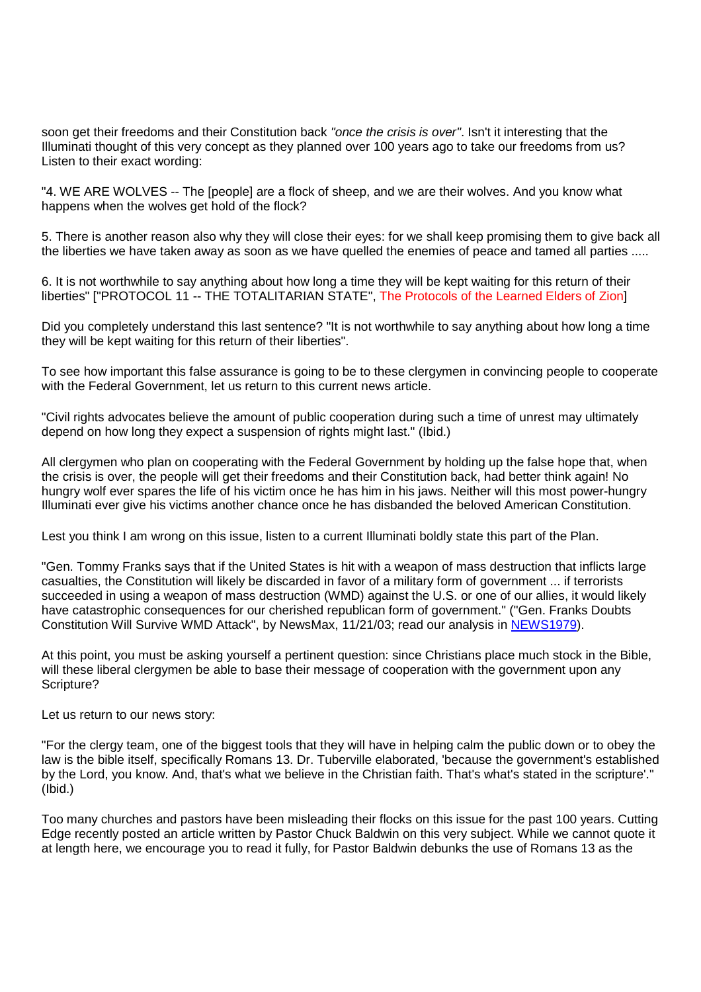soon get their freedoms and their Constitution back "once the crisis is over". Isn't it interesting that the Illuminati thought of this very concept as they planned over 100 years ago to take our freedoms from us? Listen to their exact wording:

"4. WE ARE WOLVES -- The [people] are a flock of sheep, and we are their wolves. And you know what happens when the wolves get hold of the flock?

5. There is another reason also why they will close their eyes: for we shall keep promising them to give back all the liberties we have taken away as soon as we have quelled the enemies of peace and tamed all parties .....

6. It is not worthwhile to say anything about how long a time they will be kept waiting for this return of their liberties" ["PROTOCOL 11 -- THE TOTALITARIAN STATE", The Protocols of the Learned Elders of Zion]

Did you completely understand this last sentence? "It is not worthwhile to say anything about how long a time they will be kept waiting for this return of their liberties".

To see how important this false assurance is going to be to these clergymen in convincing people to cooperate with the Federal Government, let us return to this current news article.

"Civil rights advocates believe the amount of public cooperation during such a time of unrest may ultimately depend on how long they expect a suspension of rights might last." (Ibid.)

All clergymen who plan on cooperating with the Federal Government by holding up the false hope that, when the crisis is over, the people will get their freedoms and their Constitution back, had better think again! No hungry wolf ever spares the life of his victim once he has him in his jaws. Neither will this most power-hungry Illuminati ever give his victims another chance once he has disbanded the beloved American Constitution.

Lest you think I am wrong on this issue, listen to a current Illuminati boldly state this part of the Plan.

"Gen. Tommy Franks says that if the United States is hit with a weapon of mass destruction that inflicts large casualties, the Constitution will likely be discarded in favor of a military form of government ... if terrorists succeeded in using a weapon of mass destruction (WMD) against the U.S. or one of our allies, it would likely have catastrophic consequences for our cherished republican form of government." ("Gen. Franks Doubts Constitution Will Survive WMD Attack", by NewsMax, 11/21/03; read our analysis in NEWS1979).

At this point, you must be asking yourself a pertinent question: since Christians place much stock in the Bible, will these liberal clergymen be able to base their message of cooperation with the government upon any Scripture?

Let us return to our news story:

"For the clergy team, one of the biggest tools that they will have in helping calm the public down or to obey the law is the bible itself, specifically Romans 13. Dr. Tuberville elaborated, 'because the government's established by the Lord, you know. And, that's what we believe in the Christian faith. That's what's stated in the scripture'." (Ibid.)

Too many churches and pastors have been misleading their flocks on this issue for the past 100 years. Cutting Edge recently posted an article written by Pastor Chuck Baldwin on this very subject. While we cannot quote it at length here, we encourage you to read it fully, for Pastor Baldwin debunks the use of Romans 13 as the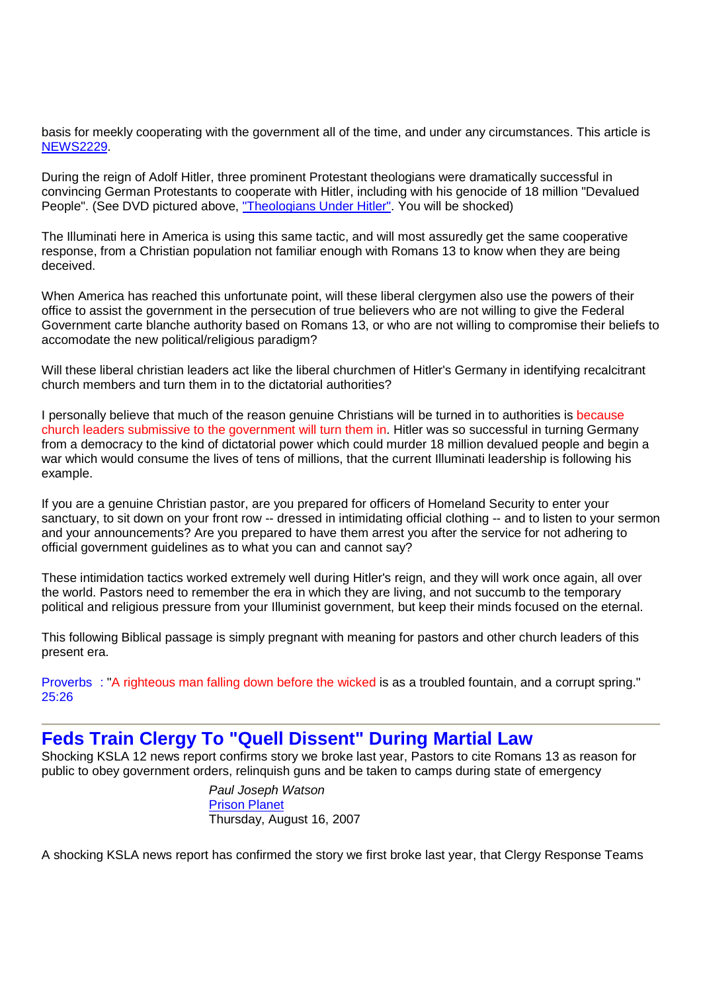basis for meekly cooperating with the government all of the time, and under any circumstances. This article is NEWS2229.

During the reign of Adolf Hitler, three prominent Protestant theologians were dramatically successful in convincing German Protestants to cooperate with Hitler, including with his genocide of 18 million "Devalued People". (See DVD pictured above, "Theologians Under Hitler". You will be shocked)

The Illuminati here in America is using this same tactic, and will most assuredly get the same cooperative response, from a Christian population not familiar enough with Romans 13 to know when they are being deceived.

When America has reached this unfortunate point, will these liberal clergymen also use the powers of their office to assist the government in the persecution of true believers who are not willing to give the Federal Government carte blanche authority based on Romans 13, or who are not willing to compromise their beliefs to accomodate the new political/religious paradigm?

Will these liberal christian leaders act like the liberal churchmen of Hitler's Germany in identifying recalcitrant church members and turn them in to the dictatorial authorities?

I personally believe that much of the reason genuine Christians will be turned in to authorities is because church leaders submissive to the government will turn them in. Hitler was so successful in turning Germany from a democracy to the kind of dictatorial power which could murder 18 million devalued people and begin a war which would consume the lives of tens of millions, that the current Illuminati leadership is following his example.

If you are a genuine Christian pastor, are you prepared for officers of Homeland Security to enter your sanctuary, to sit down on your front row -- dressed in intimidating official clothing -- and to listen to your sermon and your announcements? Are you prepared to have them arrest you after the service for not adhering to official government guidelines as to what you can and cannot say?

These intimidation tactics worked extremely well during Hitler's reign, and they will work once again, all over the world. Pastors need to remember the era in which they are living, and not succumb to the temporary political and religious pressure from your Illuminist government, but keep their minds focused on the eternal.

This following Biblical passage is simply pregnant with meaning for pastors and other church leaders of this present era.

Proverbs : "A righteous man falling down before the wicked is as a troubled fountain, and a corrupt spring." 25:26

## **Feds Train Clergy To "Quell Dissent" During Martial Law**

Shocking KSLA 12 news report confirms story we broke last year, Pastors to cite Romans 13 as reason for public to obey government orders, relinquish guns and be taken to camps during state of emergency

> Paul Joseph Watson Prison Planet Thursday, August 16, 2007

A shocking KSLA news report has confirmed the story we first broke last year, that Clergy Response Teams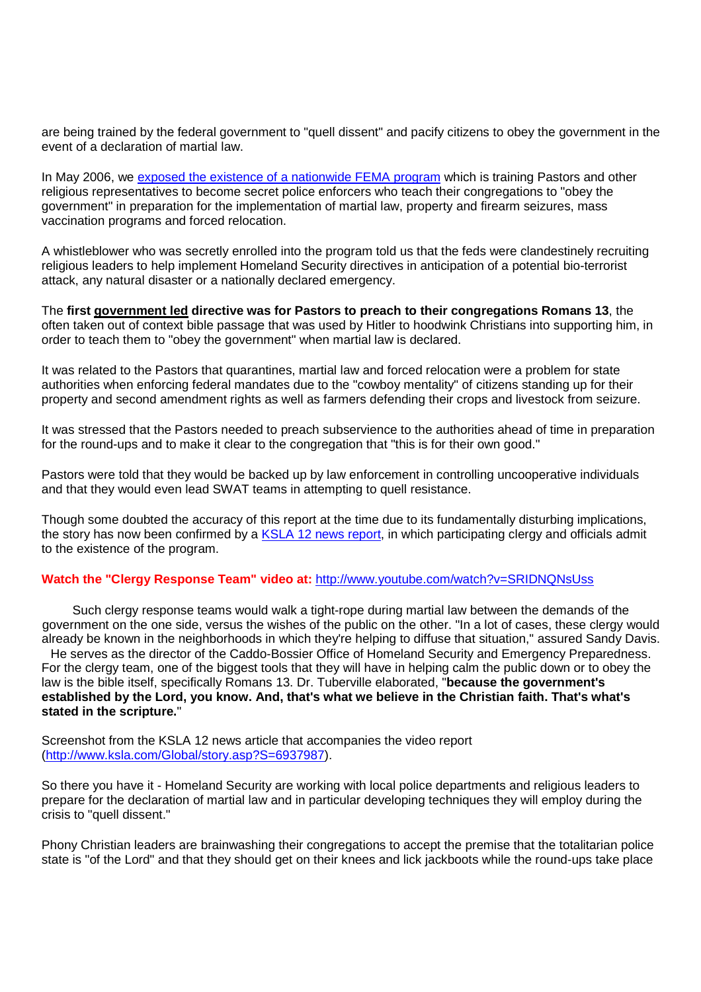are being trained by the federal government to "quell dissent" and pacify citizens to obey the government in the event of a declaration of martial law.

In May 2006, we exposed the existence of a nationwide FEMA program which is training Pastors and other religious representatives to become secret police enforcers who teach their congregations to "obey the government" in preparation for the implementation of martial law, property and firearm seizures, mass vaccination programs and forced relocation.

A whistleblower who was secretly enrolled into the program told us that the feds were clandestinely recruiting religious leaders to help implement Homeland Security directives in anticipation of a potential bio-terrorist attack, any natural disaster or a nationally declared emergency.

The **first government led directive was for Pastors to preach to their congregations Romans 13**, the often taken out of context bible passage that was used by Hitler to hoodwink Christians into supporting him, in order to teach them to "obey the government" when martial law is declared.

It was related to the Pastors that quarantines, martial law and forced relocation were a problem for state authorities when enforcing federal mandates due to the "cowboy mentality" of citizens standing up for their property and second amendment rights as well as farmers defending their crops and livestock from seizure.

It was stressed that the Pastors needed to preach subservience to the authorities ahead of time in preparation for the round-ups and to make it clear to the congregation that "this is for their own good."

Pastors were told that they would be backed up by law enforcement in controlling uncooperative individuals and that they would even lead SWAT teams in attempting to quell resistance.

Though some doubted the accuracy of this report at the time due to its fundamentally disturbing implications, the story has now been confirmed by a KSLA 12 news report, in which participating clergy and officials admit to the existence of the program.

#### **Watch the "Clergy Response Team" video at:** http://www.youtube.com/watch?v=SRIDNQNsUss

Such clergy response teams would walk a tight-rope during martial law between the demands of the government on the one side, versus the wishes of the public on the other. "In a lot of cases, these clergy would already be known in the neighborhoods in which they're helping to diffuse that situation," assured Sandy Davis.

He serves as the director of the Caddo-Bossier Office of Homeland Security and Emergency Preparedness. For the clergy team, one of the biggest tools that they will have in helping calm the public down or to obey the law is the bible itself, specifically Romans 13. Dr. Tuberville elaborated, "**because the government's established by the Lord, you know. And, that's what we believe in the Christian faith. That's what's stated in the scripture.**"

Screenshot from the KSLA 12 news article that accompanies the video report (http://www.ksla.com/Global/story.asp?S=6937987).

So there you have it - Homeland Security are working with local police departments and religious leaders to prepare for the declaration of martial law and in particular developing techniques they will employ during the crisis to "quell dissent."

Phony Christian leaders are brainwashing their congregations to accept the premise that the totalitarian police state is "of the Lord" and that they should get on their knees and lick jackboots while the round-ups take place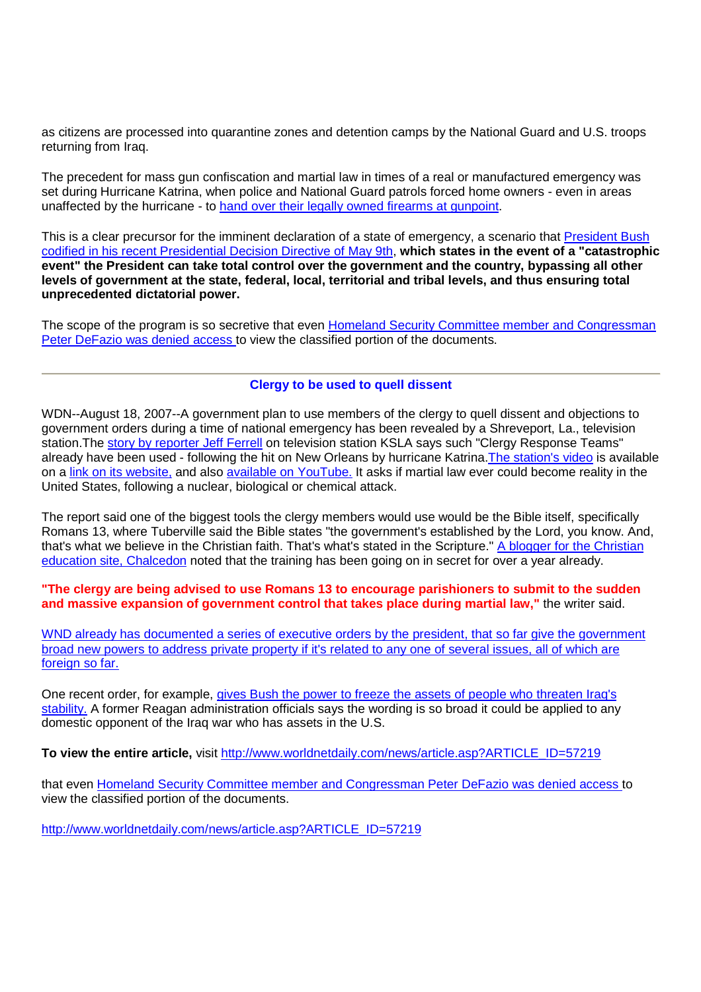as citizens are processed into quarantine zones and detention camps by the National Guard and U.S. troops returning from Iraq.

The precedent for mass gun confiscation and martial law in times of a real or manufactured emergency was set during Hurricane Katrina, when police and National Guard patrols forced home owners - even in areas unaffected by the hurricane - to hand over their legally owned firearms at gunpoint.

This is a clear precursor for the imminent declaration of a state of emergency, a scenario that **President Bush** codified in his recent Presidential Decision Directive of May 9th, **which states in the event of a "catastrophic event" the President can take total control over the government and the country, bypassing all other levels of government at the state, federal, local, territorial and tribal levels, and thus ensuring total unprecedented dictatorial power.**

The scope of the program is so secretive that even Homeland Security Committee member and Congressman Peter DeFazio was denied access to view the classified portion of the documents.

#### **Clergy to be used to quell dissent**

WDN--August 18, 2007--A government plan to use members of the clergy to quell dissent and objections to government orders during a time of national emergency has been revealed by a Shreveport, La., television station.The story by reporter Jeff Ferrell on television station KSLA says such "Clergy Response Teams" already have been used - following the hit on New Orleans by hurricane Katrina. The station's video is available on a link on its website, and also available on YouTube. It asks if martial law ever could become reality in the United States, following a nuclear, biological or chemical attack.

The report said one of the biggest tools the clergy members would use would be the Bible itself, specifically Romans 13, where Tuberville said the Bible states "the government's established by the Lord, you know. And, that's what we believe in the Christian faith. That's what's stated in the Scripture." A blogger for the Christian education site, Chalcedon noted that the training has been going on in secret for over a year already.

**"The clergy are being advised to use Romans 13 to encourage parishioners to submit to the sudden and massive expansion of government control that takes place during martial law,"** the writer said.

WND already has documented a series of executive orders by the president, that so far give the government broad new powers to address private property if it's related to any one of several issues, all of which are foreign so far.

One recent order, for example, gives Bush the power to freeze the assets of people who threaten Iraq's stability. A former Reagan administration officials says the wording is so broad it could be applied to any domestic opponent of the Iraq war who has assets in the U.S.

**To view the entire article,** visit http://www.worldnetdaily.com/news/article.asp?ARTICLE\_ID=57219

that even Homeland Security Committee member and Congressman Peter DeFazio was denied access to view the classified portion of the documents.

http://www.worldnetdaily.com/news/article.asp?ARTICLE\_ID=57219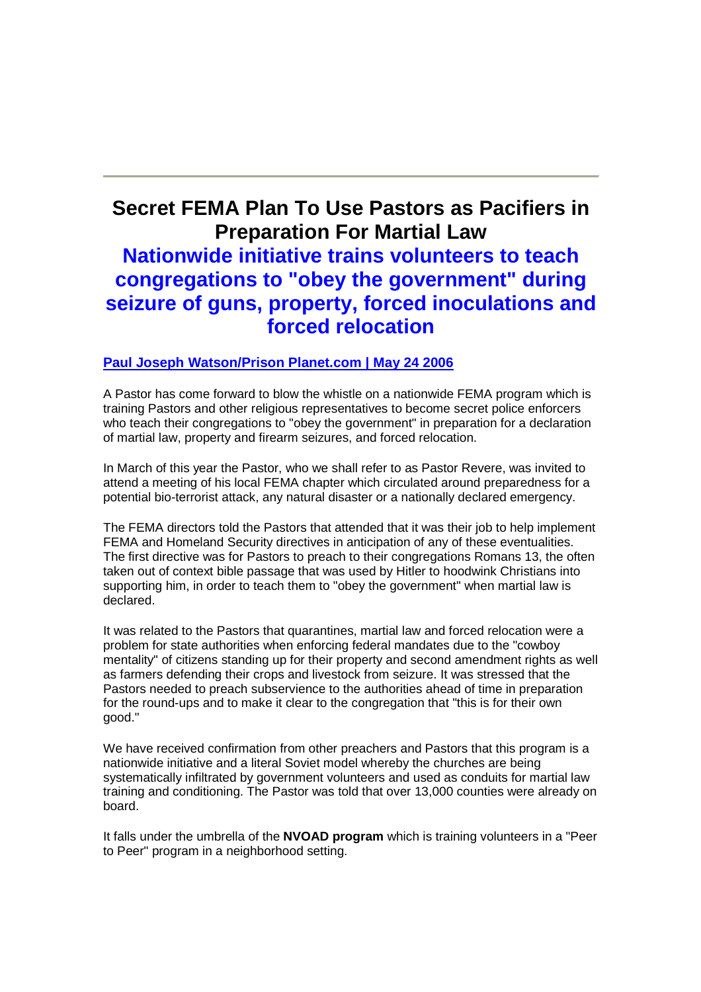## **Secret FEMA Plan To Use Pastors as Pacifiers in Preparation For Martial Law Nationwide initiative trains volunteers to teach congregations to "obey the government" during seizure of guns, property, forced inoculations and forced relocation**

#### **Paul Joseph Watson/Prison Planet.com | May 24 2006**

A Pastor has come forward to blow the whistle on a nationwide FEMA program which is training Pastors and other religious representatives to become secret police enforcers who teach their congregations to "obey the government" in preparation for a declaration of martial law, property and firearm seizures, and forced relocation.

In March of this year the Pastor, who we shall refer to as Pastor Revere, was invited to attend a meeting of his local FEMA chapter which circulated around preparedness for a potential bio-terrorist attack, any natural disaster or a nationally declared emergency.

The FEMA directors told the Pastors that attended that it was their job to help implement FEMA and Homeland Security directives in anticipation of any of these eventualities. The first directive was for Pastors to preach to their congregations Romans 13, the often taken out of context bible passage that was used by Hitler to hoodwink Christians into supporting him, in order to teach them to "obey the government" when martial law is declared.

It was related to the Pastors that quarantines, martial law and forced relocation were a problem for state authorities when enforcing federal mandates due to the "cowboy mentality" of citizens standing up for their property and second amendment rights as well as farmers defending their crops and livestock from seizure. It was stressed that the Pastors needed to preach subservience to the authorities ahead of time in preparation for the round-ups and to make it clear to the congregation that "this is for their own good."

We have received confirmation from other preachers and Pastors that this program is a nationwide initiative and a literal Soviet model whereby the churches are being systematically infiltrated by government volunteers and used as conduits for martial law training and conditioning. The Pastor was told that over 13,000 counties were already on board.

It falls under the umbrella of the **NVOAD program** which is training volunteers in a "Peer to Peer" program in a neighborhood setting.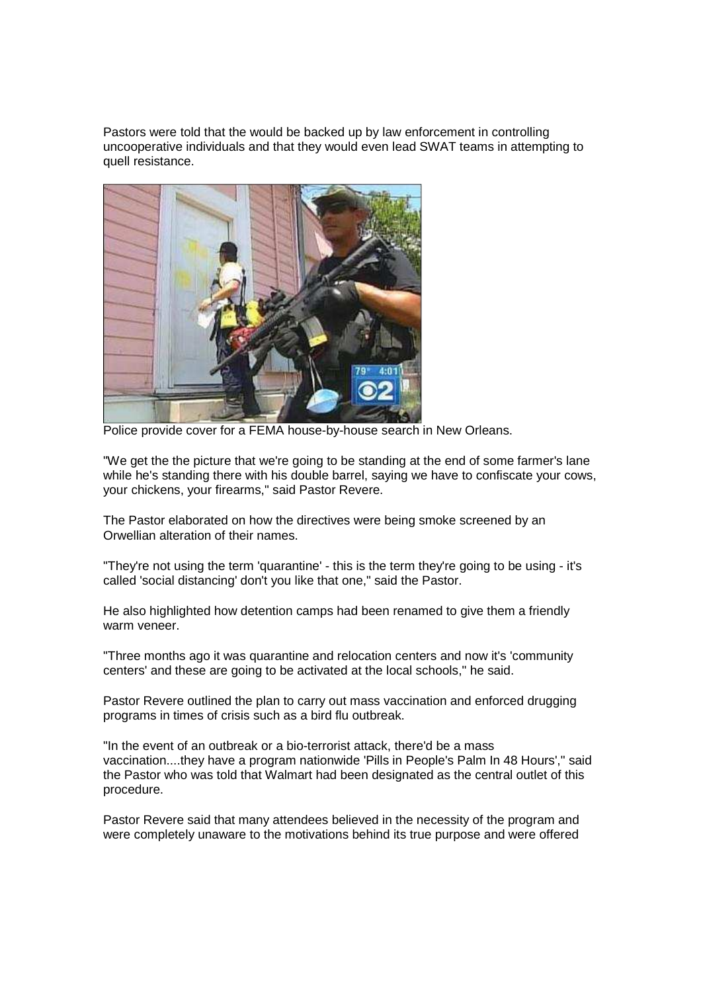Pastors were told that the would be backed up by law enforcement in controlling uncooperative individuals and that they would even lead SWAT teams in attempting to quell resistance.



Police provide cover for a FEMA house-by-house search in New Orleans.

"We get the the picture that we're going to be standing at the end of some farmer's lane while he's standing there with his double barrel, saying we have to confiscate your cows, your chickens, your firearms," said Pastor Revere.

The Pastor elaborated on how the directives were being smoke screened by an Orwellian alteration of their names.

"They're not using the term 'quarantine' - this is the term they're going to be using - it's called 'social distancing' don't you like that one," said the Pastor.

He also highlighted how detention camps had been renamed to give them a friendly warm veneer.

"Three months ago it was quarantine and relocation centers and now it's 'community centers' and these are going to be activated at the local schools," he said.

Pastor Revere outlined the plan to carry out mass vaccination and enforced drugging programs in times of crisis such as a bird flu outbreak.

"In the event of an outbreak or a bio-terrorist attack, there'd be a mass vaccination....they have a program nationwide 'Pills in People's Palm In 48 Hours'," said the Pastor who was told that Walmart had been designated as the central outlet of this procedure.

Pastor Revere said that many attendees believed in the necessity of the program and were completely unaware to the motivations behind its true purpose and were offered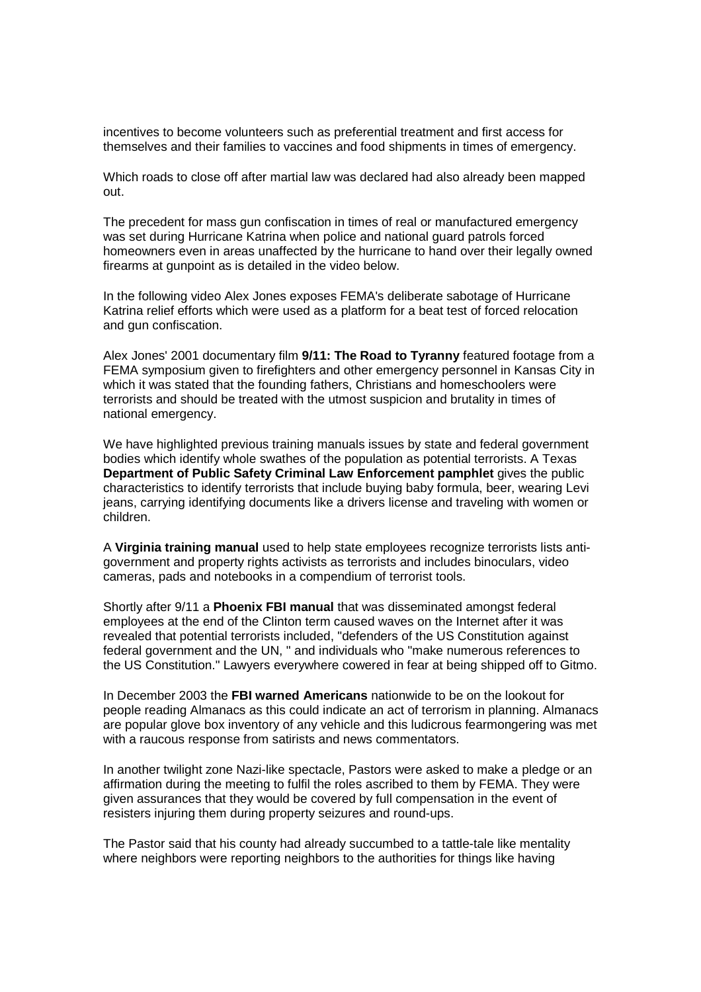incentives to become volunteers such as preferential treatment and first access for themselves and their families to vaccines and food shipments in times of emergency.

Which roads to close off after martial law was declared had also already been mapped out.

The precedent for mass gun confiscation in times of real or manufactured emergency was set during Hurricane Katrina when police and national guard patrols forced homeowners even in areas unaffected by the hurricane to hand over their legally owned firearms at gunpoint as is detailed in the video below.

In the following video Alex Jones exposes FEMA's deliberate sabotage of Hurricane Katrina relief efforts which were used as a platform for a beat test of forced relocation and gun confiscation.

Alex Jones' 2001 documentary film **9/11: The Road to Tyranny** featured footage from a FEMA symposium given to firefighters and other emergency personnel in Kansas City in which it was stated that the founding fathers, Christians and homeschoolers were terrorists and should be treated with the utmost suspicion and brutality in times of national emergency.

We have highlighted previous training manuals issues by state and federal government bodies which identify whole swathes of the population as potential terrorists. A Texas **Department of Public Safety Criminal Law Enforcement pamphlet** gives the public characteristics to identify terrorists that include buying baby formula, beer, wearing Levi jeans, carrying identifying documents like a drivers license and traveling with women or children.

A **Virginia training manual** used to help state employees recognize terrorists lists antigovernment and property rights activists as terrorists and includes binoculars, video cameras, pads and notebooks in a compendium of terrorist tools.

Shortly after 9/11 a **Phoenix FBI manual** that was disseminated amongst federal employees at the end of the Clinton term caused waves on the Internet after it was revealed that potential terrorists included, "defenders of the US Constitution against federal government and the UN, " and individuals who "make numerous references to the US Constitution." Lawyers everywhere cowered in fear at being shipped off to Gitmo.

In December 2003 the **FBI warned Americans** nationwide to be on the lookout for people reading Almanacs as this could indicate an act of terrorism in planning. Almanacs are popular glove box inventory of any vehicle and this ludicrous fearmongering was met with a raucous response from satirists and news commentators.

In another twilight zone Nazi-like spectacle, Pastors were asked to make a pledge or an affirmation during the meeting to fulfil the roles ascribed to them by FEMA. They were given assurances that they would be covered by full compensation in the event of resisters injuring them during property seizures and round-ups.

The Pastor said that his county had already succumbed to a tattle-tale like mentality where neighbors were reporting neighbors to the authorities for things like having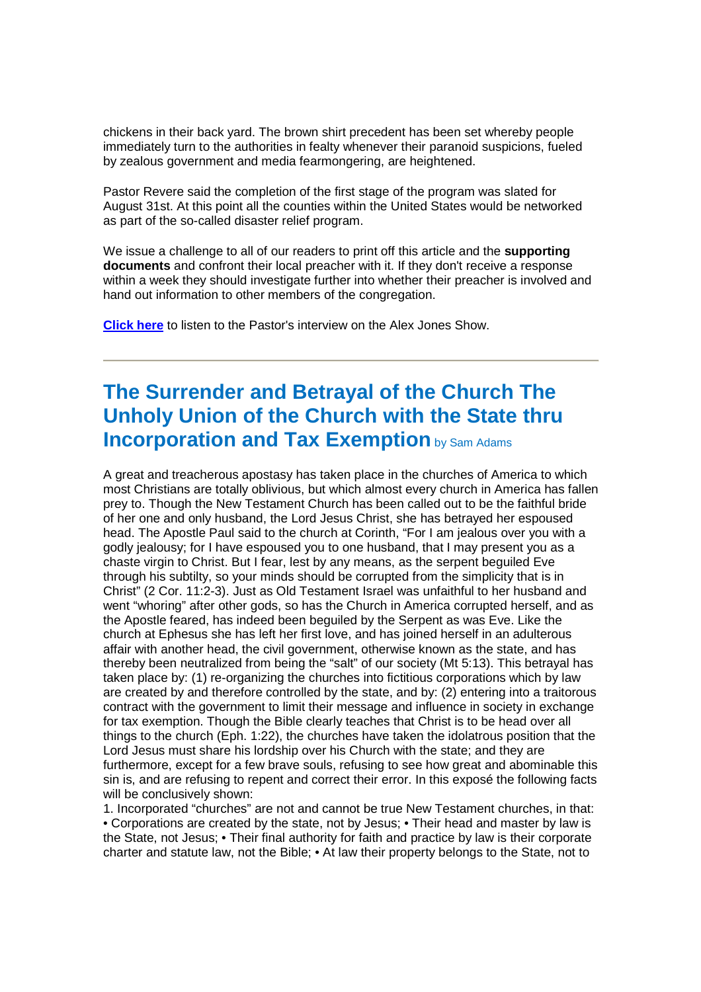chickens in their back yard. The brown shirt precedent has been set whereby people immediately turn to the authorities in fealty whenever their paranoid suspicions, fueled by zealous government and media fearmongering, are heightened.

Pastor Revere said the completion of the first stage of the program was slated for August 31st. At this point all the counties within the United States would be networked as part of the so-called disaster relief program.

We issue a challenge to all of our readers to print off this article and the **supporting documents** and confront their local preacher with it. If they don't receive a response within a week they should investigate further into whether their preacher is involved and hand out information to other members of the congregation.

**Click here** to listen to the Pastor's interview on the Alex Jones Show.

## **The Surrender and Betrayal of the Church The Unholy Union of the Church with the State thru Incorporation and Tax Exemption** by Sam Adams

A great and treacherous apostasy has taken place in the churches of America to which most Christians are totally oblivious, but which almost every church in America has fallen prey to. Though the New Testament Church has been called out to be the faithful bride of her one and only husband, the Lord Jesus Christ, she has betrayed her espoused head. The Apostle Paul said to the church at Corinth, "For I am jealous over you with a godly jealousy; for I have espoused you to one husband, that I may present you as a chaste virgin to Christ. But I fear, lest by any means, as the serpent beguiled Eve through his subtilty, so your minds should be corrupted from the simplicity that is in Christ" (2 Cor. 11:2-3). Just as Old Testament Israel was unfaithful to her husband and went "whoring" after other gods, so has the Church in America corrupted herself, and as the Apostle feared, has indeed been beguiled by the Serpent as was Eve. Like the church at Ephesus she has left her first love, and has joined herself in an adulterous affair with another head, the civil government, otherwise known as the state, and has thereby been neutralized from being the "salt" of our society (Mt 5:13). This betrayal has taken place by: (1) re-organizing the churches into fictitious corporations which by law are created by and therefore controlled by the state, and by: (2) entering into a traitorous contract with the government to limit their message and influence in society in exchange for tax exemption. Though the Bible clearly teaches that Christ is to be head over all things to the church (Eph. 1:22), the churches have taken the idolatrous position that the Lord Jesus must share his lordship over his Church with the state; and they are furthermore, except for a few brave souls, refusing to see how great and abominable this sin is, and are refusing to repent and correct their error. In this exposé the following facts will be conclusively shown:

1. Incorporated "churches" are not and cannot be true New Testament churches, in that: • Corporations are created by the state, not by Jesus; • Their head and master by law is the State, not Jesus; • Their final authority for faith and practice by law is their corporate charter and statute law, not the Bible; • At law their property belongs to the State, not to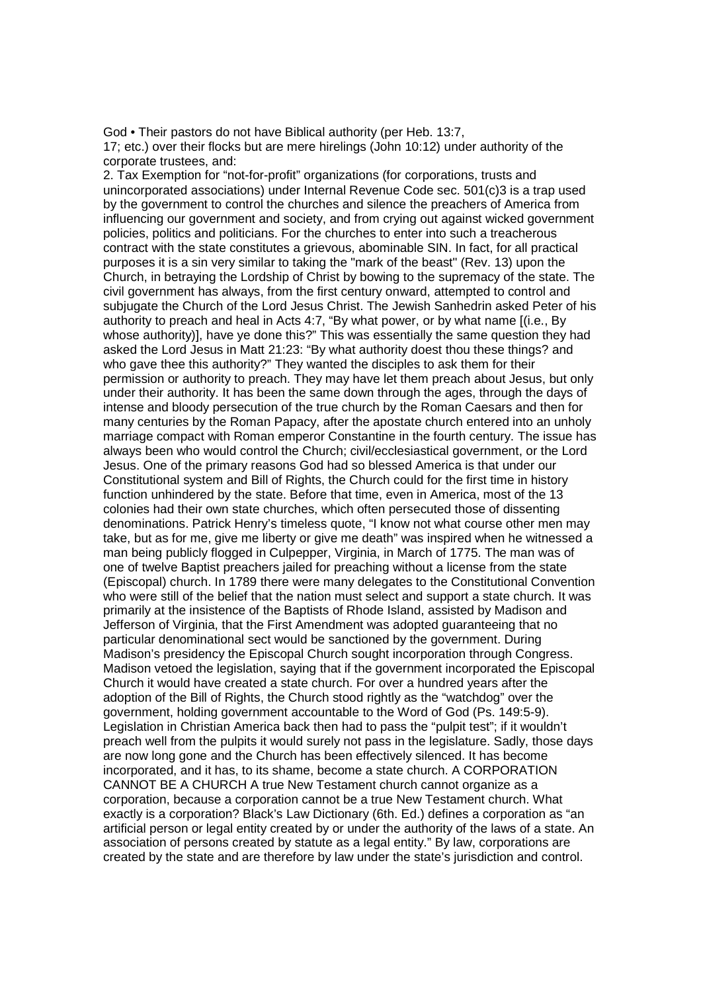God • Their pastors do not have Biblical authority (per Heb. 13:7,

17; etc.) over their flocks but are mere hirelings (John 10:12) under authority of the corporate trustees, and:

2. Tax Exemption for "not-for-profit" organizations (for corporations, trusts and unincorporated associations) under Internal Revenue Code sec. 501(c)3 is a trap used by the government to control the churches and silence the preachers of America from influencing our government and society, and from crying out against wicked government policies, politics and politicians. For the churches to enter into such a treacherous contract with the state constitutes a grievous, abominable SIN. In fact, for all practical purposes it is a sin very similar to taking the "mark of the beast" (Rev. 13) upon the Church, in betraying the Lordship of Christ by bowing to the supremacy of the state. The civil government has always, from the first century onward, attempted to control and subjugate the Church of the Lord Jesus Christ. The Jewish Sanhedrin asked Peter of his authority to preach and heal in Acts 4:7, "By what power, or by what name [(i.e., By whose authority)], have ye done this?" This was essentially the same question they had asked the Lord Jesus in Matt 21:23: "By what authority doest thou these things? and who gave thee this authority?" They wanted the disciples to ask them for their permission or authority to preach. They may have let them preach about Jesus, but only under their authority. It has been the same down through the ages, through the days of intense and bloody persecution of the true church by the Roman Caesars and then for many centuries by the Roman Papacy, after the apostate church entered into an unholy marriage compact with Roman emperor Constantine in the fourth century. The issue has always been who would control the Church; civil/ecclesiastical government, or the Lord Jesus. One of the primary reasons God had so blessed America is that under our Constitutional system and Bill of Rights, the Church could for the first time in history function unhindered by the state. Before that time, even in America, most of the 13 colonies had their own state churches, which often persecuted those of dissenting denominations. Patrick Henry's timeless quote, "I know not what course other men may take, but as for me, give me liberty or give me death" was inspired when he witnessed a man being publicly flogged in Culpepper, Virginia, in March of 1775. The man was of one of twelve Baptist preachers jailed for preaching without a license from the state (Episcopal) church. In 1789 there were many delegates to the Constitutional Convention who were still of the belief that the nation must select and support a state church. It was primarily at the insistence of the Baptists of Rhode Island, assisted by Madison and Jefferson of Virginia, that the First Amendment was adopted guaranteeing that no particular denominational sect would be sanctioned by the government. During Madison's presidency the Episcopal Church sought incorporation through Congress. Madison vetoed the legislation, saying that if the government incorporated the Episcopal Church it would have created a state church. For over a hundred years after the adoption of the Bill of Rights, the Church stood rightly as the "watchdog" over the government, holding government accountable to the Word of God (Ps. 149:5-9). Legislation in Christian America back then had to pass the "pulpit test"; if it wouldn't preach well from the pulpits it would surely not pass in the legislature. Sadly, those days are now long gone and the Church has been effectively silenced. It has become incorporated, and it has, to its shame, become a state church. A CORPORATION CANNOT BE A CHURCH A true New Testament church cannot organize as a corporation, because a corporation cannot be a true New Testament church. What exactly is a corporation? Black's Law Dictionary (6th. Ed.) defines a corporation as "an artificial person or legal entity created by or under the authority of the laws of a state. An association of persons created by statute as a legal entity." By law, corporations are created by the state and are therefore by law under the state's jurisdiction and control.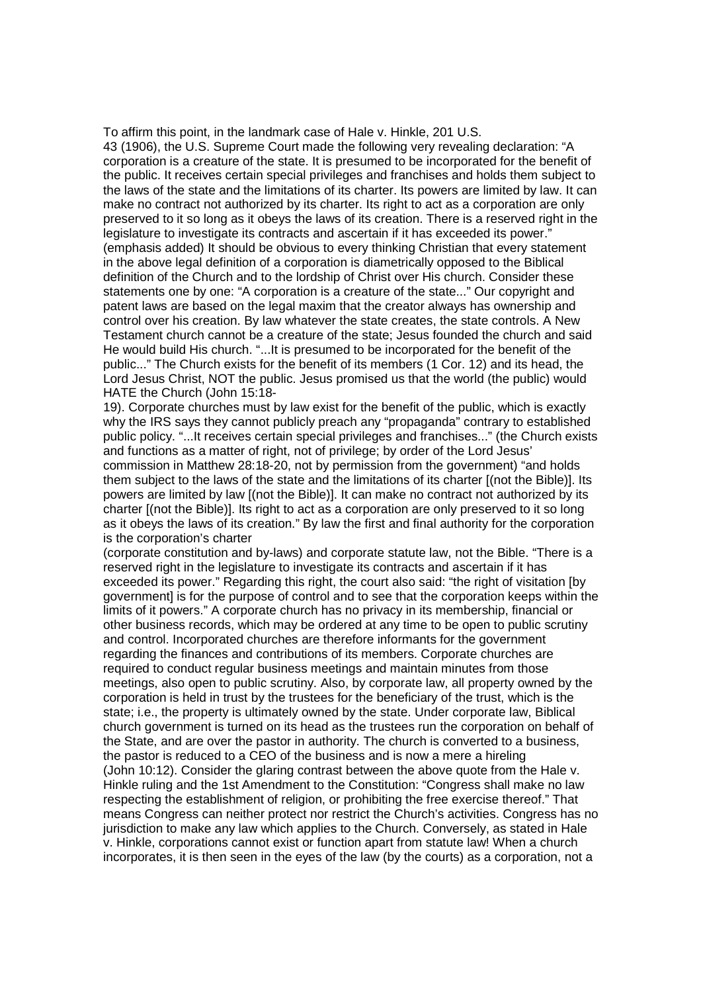To affirm this point, in the landmark case of Hale v. Hinkle, 201 U.S. 43 (1906), the U.S. Supreme Court made the following very revealing declaration: "A corporation is a creature of the state. It is presumed to be incorporated for the benefit of the public. It receives certain special privileges and franchises and holds them subject to the laws of the state and the limitations of its charter. Its powers are limited by law. It can make no contract not authorized by its charter. Its right to act as a corporation are only preserved to it so long as it obeys the laws of its creation. There is a reserved right in the legislature to investigate its contracts and ascertain if it has exceeded its power." (emphasis added) It should be obvious to every thinking Christian that every statement in the above legal definition of a corporation is diametrically opposed to the Biblical definition of the Church and to the lordship of Christ over His church. Consider these statements one by one: "A corporation is a creature of the state..." Our copyright and patent laws are based on the legal maxim that the creator always has ownership and control over his creation. By law whatever the state creates, the state controls. A New Testament church cannot be a creature of the state; Jesus founded the church and said He would build His church. "...It is presumed to be incorporated for the benefit of the public..." The Church exists for the benefit of its members (1 Cor. 12) and its head, the Lord Jesus Christ, NOT the public. Jesus promised us that the world (the public) would HATE the Church (John 15:18-

19). Corporate churches must by law exist for the benefit of the public, which is exactly why the IRS says they cannot publicly preach any "propaganda" contrary to established public policy. "...It receives certain special privileges and franchises..." (the Church exists and functions as a matter of right, not of privilege; by order of the Lord Jesus' commission in Matthew 28:18-20, not by permission from the government) "and holds them subject to the laws of the state and the limitations of its charter [(not the Bible)]. Its powers are limited by law [(not the Bible)]. It can make no contract not authorized by its charter [(not the Bible)]. Its right to act as a corporation are only preserved to it so long as it obeys the laws of its creation." By law the first and final authority for the corporation is the corporation's charter

(corporate constitution and by-laws) and corporate statute law, not the Bible. "There is a reserved right in the legislature to investigate its contracts and ascertain if it has exceeded its power." Regarding this right, the court also said: "the right of visitation [by government] is for the purpose of control and to see that the corporation keeps within the limits of it powers." A corporate church has no privacy in its membership, financial or other business records, which may be ordered at any time to be open to public scrutiny and control. Incorporated churches are therefore informants for the government regarding the finances and contributions of its members. Corporate churches are required to conduct regular business meetings and maintain minutes from those meetings, also open to public scrutiny. Also, by corporate law, all property owned by the corporation is held in trust by the trustees for the beneficiary of the trust, which is the state; i.e., the property is ultimately owned by the state. Under corporate law, Biblical church government is turned on its head as the trustees run the corporation on behalf of the State, and are over the pastor in authority. The church is converted to a business, the pastor is reduced to a CEO of the business and is now a mere a hireling (John 10:12). Consider the glaring contrast between the above quote from the Hale v. Hinkle ruling and the 1st Amendment to the Constitution: "Congress shall make no law respecting the establishment of religion, or prohibiting the free exercise thereof." That means Congress can neither protect nor restrict the Church's activities. Congress has no jurisdiction to make any law which applies to the Church. Conversely, as stated in Hale v. Hinkle, corporations cannot exist or function apart from statute law! When a church incorporates, it is then seen in the eyes of the law (by the courts) as a corporation, not a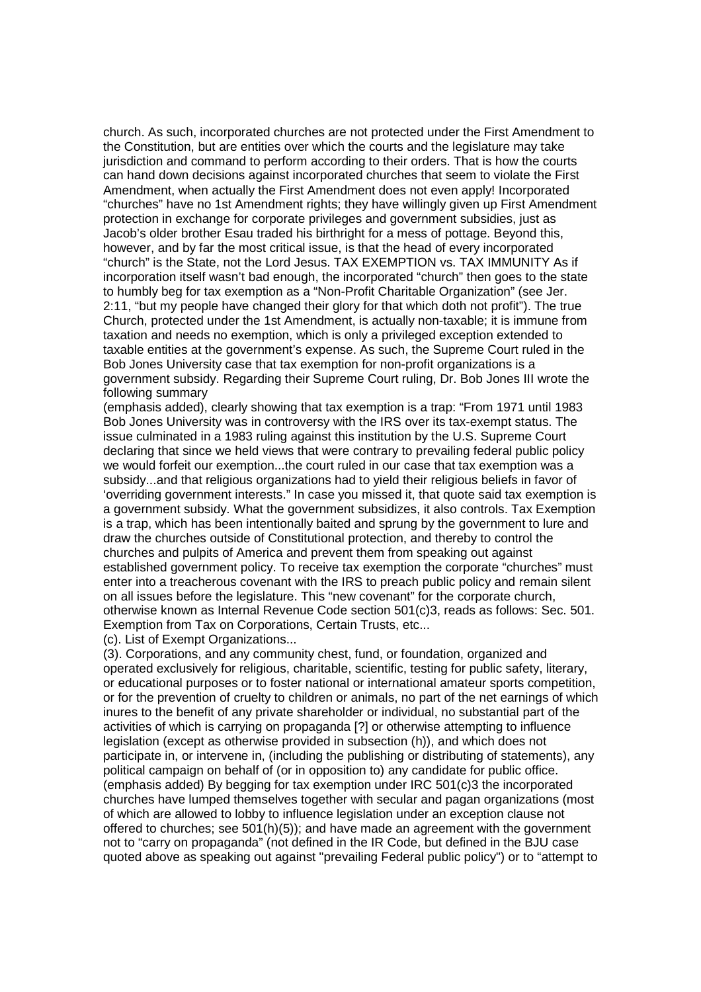church. As such, incorporated churches are not protected under the First Amendment to the Constitution, but are entities over which the courts and the legislature may take jurisdiction and command to perform according to their orders. That is how the courts can hand down decisions against incorporated churches that seem to violate the First Amendment, when actually the First Amendment does not even apply! Incorporated "churches" have no 1st Amendment rights; they have willingly given up First Amendment protection in exchange for corporate privileges and government subsidies, just as Jacob's older brother Esau traded his birthright for a mess of pottage. Beyond this, however, and by far the most critical issue, is that the head of every incorporated "church" is the State, not the Lord Jesus. TAX EXEMPTION vs. TAX IMMUNITY As if incorporation itself wasn't bad enough, the incorporated "church" then goes to the state to humbly beg for tax exemption as a "Non-Profit Charitable Organization" (see Jer. 2:11, "but my people have changed their glory for that which doth not profit"). The true Church, protected under the 1st Amendment, is actually non-taxable; it is immune from taxation and needs no exemption, which is only a privileged exception extended to taxable entities at the government's expense. As such, the Supreme Court ruled in the Bob Jones University case that tax exemption for non-profit organizations is a government subsidy. Regarding their Supreme Court ruling, Dr. Bob Jones III wrote the following summary

(emphasis added), clearly showing that tax exemption is a trap: "From 1971 until 1983 Bob Jones University was in controversy with the IRS over its tax-exempt status. The issue culminated in a 1983 ruling against this institution by the U.S. Supreme Court declaring that since we held views that were contrary to prevailing federal public policy we would forfeit our exemption...the court ruled in our case that tax exemption was a subsidy...and that religious organizations had to yield their religious beliefs in favor of 'overriding government interests." In case you missed it, that quote said tax exemption is a government subsidy. What the government subsidizes, it also controls. Tax Exemption is a trap, which has been intentionally baited and sprung by the government to lure and draw the churches outside of Constitutional protection, and thereby to control the churches and pulpits of America and prevent them from speaking out against established government policy. To receive tax exemption the corporate "churches" must enter into a treacherous covenant with the IRS to preach public policy and remain silent on all issues before the legislature. This "new covenant" for the corporate church, otherwise known as Internal Revenue Code section 501(c)3, reads as follows: Sec. 501. Exemption from Tax on Corporations, Certain Trusts, etc...

(c). List of Exempt Organizations...

(3). Corporations, and any community chest, fund, or foundation, organized and operated exclusively for religious, charitable, scientific, testing for public safety, literary, or educational purposes or to foster national or international amateur sports competition, or for the prevention of cruelty to children or animals, no part of the net earnings of which inures to the benefit of any private shareholder or individual, no substantial part of the activities of which is carrying on propaganda [?] or otherwise attempting to influence legislation (except as otherwise provided in subsection (h)), and which does not participate in, or intervene in, (including the publishing or distributing of statements), any political campaign on behalf of (or in opposition to) any candidate for public office. (emphasis added) By begging for tax exemption under IRC 501(c)3 the incorporated churches have lumped themselves together with secular and pagan organizations (most of which are allowed to lobby to influence legislation under an exception clause not offered to churches; see 501(h)(5)); and have made an agreement with the government not to "carry on propaganda" (not defined in the IR Code, but defined in the BJU case quoted above as speaking out against "prevailing Federal public policy") or to "attempt to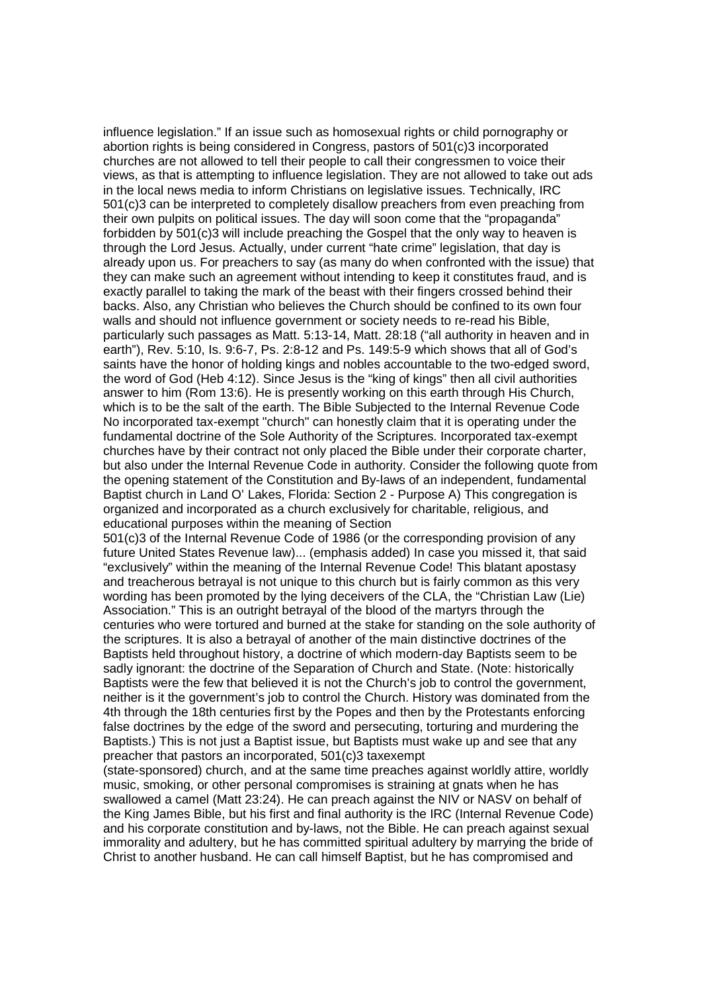influence legislation." If an issue such as homosexual rights or child pornography or abortion rights is being considered in Congress, pastors of 501(c)3 incorporated churches are not allowed to tell their people to call their congressmen to voice their views, as that is attempting to influence legislation. They are not allowed to take out ads in the local news media to inform Christians on legislative issues. Technically, IRC 501(c)3 can be interpreted to completely disallow preachers from even preaching from their own pulpits on political issues. The day will soon come that the "propaganda" forbidden by 501(c)3 will include preaching the Gospel that the only way to heaven is through the Lord Jesus. Actually, under current "hate crime" legislation, that day is already upon us. For preachers to say (as many do when confronted with the issue) that they can make such an agreement without intending to keep it constitutes fraud, and is exactly parallel to taking the mark of the beast with their fingers crossed behind their backs. Also, any Christian who believes the Church should be confined to its own four walls and should not influence government or society needs to re-read his Bible, particularly such passages as Matt. 5:13-14, Matt. 28:18 ("all authority in heaven and in earth"), Rev. 5:10, Is. 9:6-7, Ps. 2:8-12 and Ps. 149:5-9 which shows that all of God's saints have the honor of holding kings and nobles accountable to the two-edged sword, the word of God (Heb 4:12). Since Jesus is the "king of kings" then all civil authorities answer to him (Rom 13:6). He is presently working on this earth through His Church, which is to be the salt of the earth. The Bible Subjected to the Internal Revenue Code No incorporated tax-exempt "church" can honestly claim that it is operating under the fundamental doctrine of the Sole Authority of the Scriptures. Incorporated tax-exempt churches have by their contract not only placed the Bible under their corporate charter, but also under the Internal Revenue Code in authority. Consider the following quote from the opening statement of the Constitution and By-laws of an independent, fundamental Baptist church in Land O' Lakes, Florida: Section 2 - Purpose A) This congregation is organized and incorporated as a church exclusively for charitable, religious, and educational purposes within the meaning of Section

501(c)3 of the Internal Revenue Code of 1986 (or the corresponding provision of any future United States Revenue law)... (emphasis added) In case you missed it, that said "exclusively" within the meaning of the Internal Revenue Code! This blatant apostasy and treacherous betrayal is not unique to this church but is fairly common as this very wording has been promoted by the lying deceivers of the CLA, the "Christian Law (Lie) Association." This is an outright betrayal of the blood of the martyrs through the centuries who were tortured and burned at the stake for standing on the sole authority of the scriptures. It is also a betrayal of another of the main distinctive doctrines of the Baptists held throughout history, a doctrine of which modern-day Baptists seem to be sadly ignorant: the doctrine of the Separation of Church and State. (Note: historically Baptists were the few that believed it is not the Church's job to control the government, neither is it the government's job to control the Church. History was dominated from the 4th through the 18th centuries first by the Popes and then by the Protestants enforcing false doctrines by the edge of the sword and persecuting, torturing and murdering the Baptists.) This is not just a Baptist issue, but Baptists must wake up and see that any preacher that pastors an incorporated, 501(c)3 taxexempt

(state-sponsored) church, and at the same time preaches against worldly attire, worldly music, smoking, or other personal compromises is straining at gnats when he has swallowed a camel (Matt 23:24). He can preach against the NIV or NASV on behalf of the King James Bible, but his first and final authority is the IRC (Internal Revenue Code) and his corporate constitution and by-laws, not the Bible. He can preach against sexual immorality and adultery, but he has committed spiritual adultery by marrying the bride of Christ to another husband. He can call himself Baptist, but he has compromised and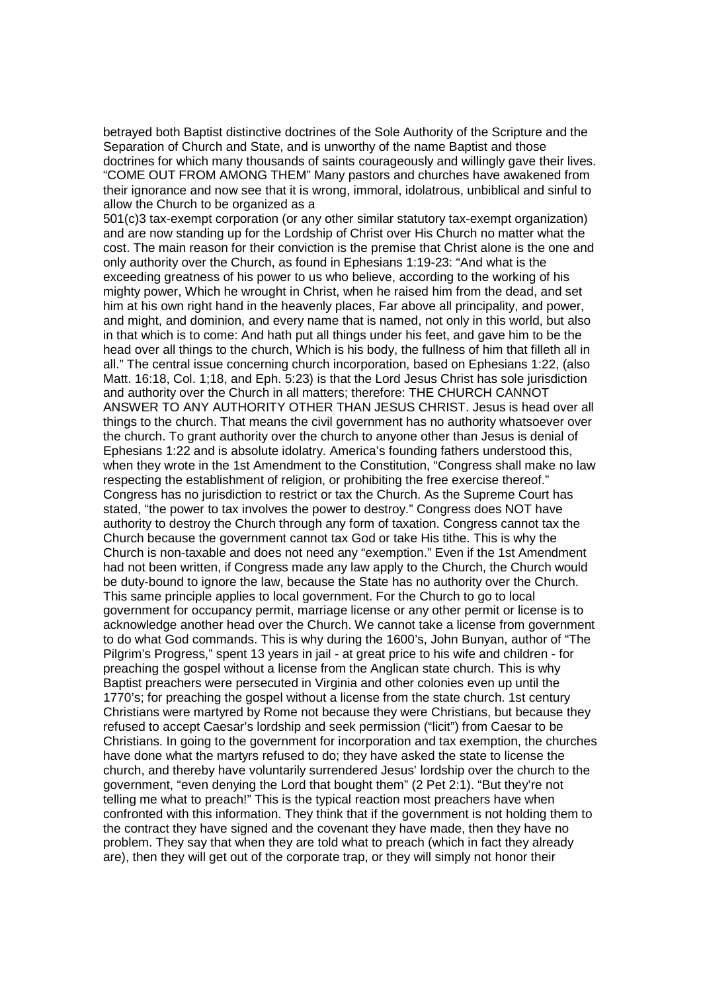betrayed both Baptist distinctive doctrines of the Sole Authority of the Scripture and the Separation of Church and State, and is unworthy of the name Baptist and those doctrines for which many thousands of saints courageously and willingly gave their lives. "COME OUT FROM AMONG THEM" Many pastors and churches have awakened from their ignorance and now see that it is wrong, immoral, idolatrous, unbiblical and sinful to allow the Church to be organized as a

501(c)3 tax-exempt corporation (or any other similar statutory tax-exempt organization) and are now standing up for the Lordship of Christ over His Church no matter what the cost. The main reason for their conviction is the premise that Christ alone is the one and only authority over the Church, as found in Ephesians 1:19-23: "And what is the exceeding greatness of his power to us who believe, according to the working of his mighty power, Which he wrought in Christ, when he raised him from the dead, and set him at his own right hand in the heavenly places, Far above all principality, and power, and might, and dominion, and every name that is named, not only in this world, but also in that which is to come: And hath put all things under his feet, and gave him to be the head over all things to the church, Which is his body, the fullness of him that filleth all in all." The central issue concerning church incorporation, based on Ephesians 1:22, (also Matt. 16:18, Col. 1;18, and Eph. 5:23) is that the Lord Jesus Christ has sole jurisdiction and authority over the Church in all matters; therefore: THE CHURCH CANNOT ANSWER TO ANY AUTHORITY OTHER THAN JESUS CHRIST. Jesus is head over all things to the church. That means the civil government has no authority whatsoever over the church. To grant authority over the church to anyone other than Jesus is denial of Ephesians 1:22 and is absolute idolatry. America's founding fathers understood this, when they wrote in the 1st Amendment to the Constitution, "Congress shall make no law respecting the establishment of religion, or prohibiting the free exercise thereof." Congress has no jurisdiction to restrict or tax the Church. As the Supreme Court has stated, "the power to tax involves the power to destroy." Congress does NOT have authority to destroy the Church through any form of taxation. Congress cannot tax the Church because the government cannot tax God or take His tithe. This is why the Church is non-taxable and does not need any "exemption." Even if the 1st Amendment had not been written, if Congress made any law apply to the Church, the Church would be duty-bound to ignore the law, because the State has no authority over the Church. This same principle applies to local government. For the Church to go to local government for occupancy permit, marriage license or any other permit or license is to acknowledge another head over the Church. We cannot take a license from government to do what God commands. This is why during the 1600's, John Bunyan, author of "The Pilgrim's Progress," spent 13 years in jail - at great price to his wife and children - for preaching the gospel without a license from the Anglican state church. This is why Baptist preachers were persecuted in Virginia and other colonies even up until the 1770's; for preaching the gospel without a license from the state church. 1st century Christians were martyred by Rome not because they were Christians, but because they refused to accept Caesar's lordship and seek permission ("licit") from Caesar to be Christians. In going to the government for incorporation and tax exemption, the churches have done what the martyrs refused to do; they have asked the state to license the church, and thereby have voluntarily surrendered Jesus' lordship over the church to the government, "even denying the Lord that bought them" (2 Pet 2:1). "But they're not telling me what to preach!" This is the typical reaction most preachers have when confronted with this information. They think that if the government is not holding them to the contract they have signed and the covenant they have made, then they have no problem. They say that when they are told what to preach (which in fact they already are), then they will get out of the corporate trap, or they will simply not honor their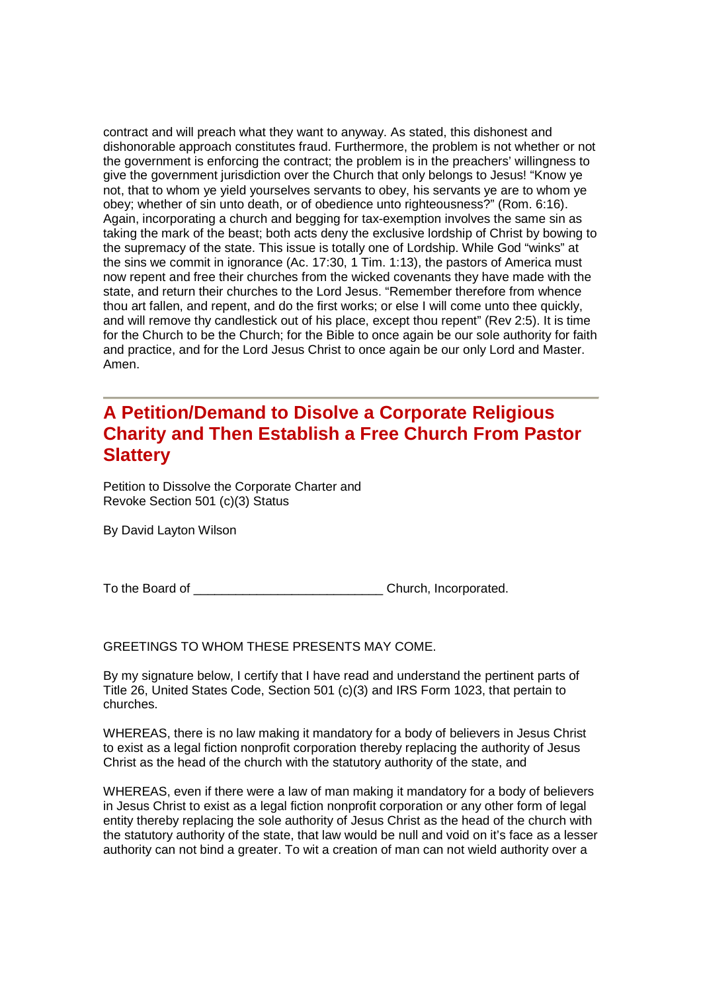contract and will preach what they want to anyway. As stated, this dishonest and dishonorable approach constitutes fraud. Furthermore, the problem is not whether or not the government is enforcing the contract; the problem is in the preachers' willingness to give the government jurisdiction over the Church that only belongs to Jesus! "Know ye not, that to whom ye yield yourselves servants to obey, his servants ye are to whom ye obey; whether of sin unto death, or of obedience unto righteousness?" (Rom. 6:16). Again, incorporating a church and begging for tax-exemption involves the same sin as taking the mark of the beast; both acts deny the exclusive lordship of Christ by bowing to the supremacy of the state. This issue is totally one of Lordship. While God "winks" at the sins we commit in ignorance (Ac. 17:30, 1 Tim. 1:13), the pastors of America must now repent and free their churches from the wicked covenants they have made with the state, and return their churches to the Lord Jesus. "Remember therefore from whence thou art fallen, and repent, and do the first works; or else I will come unto thee quickly, and will remove thy candlestick out of his place, except thou repent" (Rev 2:5). It is time for the Church to be the Church; for the Bible to once again be our sole authority for faith and practice, and for the Lord Jesus Christ to once again be our only Lord and Master. Amen.

## **A Petition/Demand to Disolve a Corporate Religious Charity and Then Establish a Free Church From Pastor Slattery**

Petition to Dissolve the Corporate Charter and Revoke Section 501 (c)(3) Status

By David Layton Wilson

To the Board of **The Board of Election** Church, Incorporated.

GREETINGS TO WHOM THESE PRESENTS MAY COME.

By my signature below, I certify that I have read and understand the pertinent parts of Title 26, United States Code, Section 501 (c)(3) and IRS Form 1023, that pertain to churches.

WHEREAS, there is no law making it mandatory for a body of believers in Jesus Christ to exist as a legal fiction nonprofit corporation thereby replacing the authority of Jesus Christ as the head of the church with the statutory authority of the state, and

WHEREAS, even if there were a law of man making it mandatory for a body of believers in Jesus Christ to exist as a legal fiction nonprofit corporation or any other form of legal entity thereby replacing the sole authority of Jesus Christ as the head of the church with the statutory authority of the state, that law would be null and void on it's face as a lesser authority can not bind a greater. To wit a creation of man can not wield authority over a